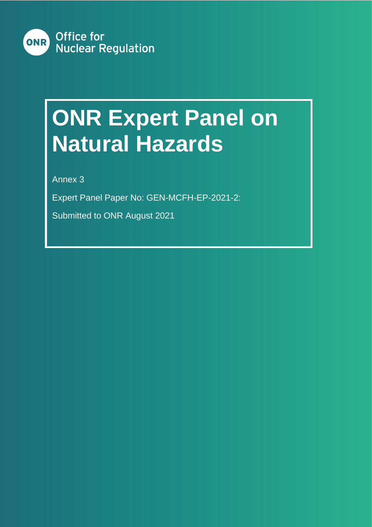

# **ONR Expert Panel on Natural Hazards**

Annex 3

Expert Panel Paper No: GEN-MCFH-EP-2021-2:

Submitted to ONR August 2021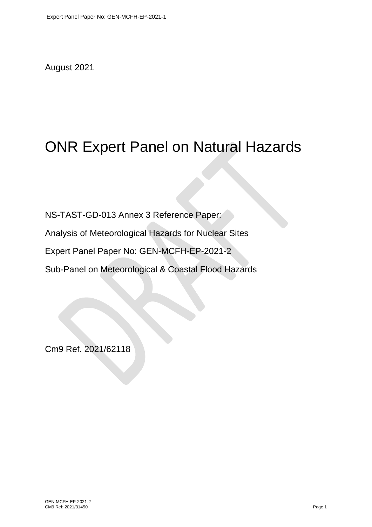August 2021

## ONR Expert Panel on Natural Hazards

NS-TAST-GD-013 Annex 3 Reference Paper:

Analysis of Meteorological Hazards for Nuclear Sites

Expert Panel Paper No: GEN-MCFH-EP-2021-2

Sub-Panel on Meteorological & Coastal Flood Hazards

Cm9 Ref. 2021/62118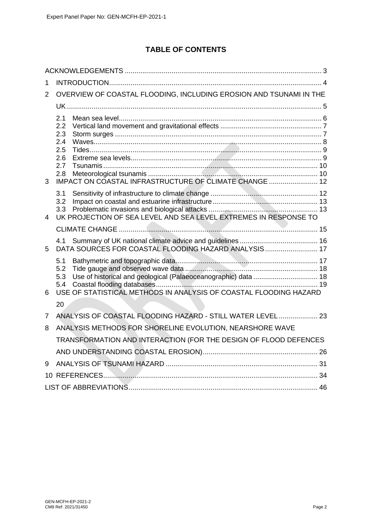### **TABLE OF CONTENTS**

| 1              |                                                                                                                                                                 |  |  |  |
|----------------|-----------------------------------------------------------------------------------------------------------------------------------------------------------------|--|--|--|
| 2              | OVERVIEW OF COASTAL FLOODING, INCLUDING EROSION AND TSUNAMI IN THE                                                                                              |  |  |  |
|                |                                                                                                                                                                 |  |  |  |
| 3              | 2.1<br>2.2<br>2.3<br>2.4<br>2.5<br>2.6<br>2.7<br>2.8<br>IMPACT ON COASTAL INFRASTRUCTURE OF CLIMATE CHANGE  12                                                  |  |  |  |
| 4              | 3.1<br>3.2<br>3.3<br>UK PROJECTION OF SEA LEVEL AND SEA LEVEL EXTREMES IN RESPONSE TO                                                                           |  |  |  |
|                |                                                                                                                                                                 |  |  |  |
| 5              | 4.1<br>DATA SOURCES FOR COASTAL FLOODING HAZARD ANALYSIS 17                                                                                                     |  |  |  |
| 6              | 5.1<br>5.2<br>Use of historical and geological (Palaeoceanographic) data  18<br>5.3<br>5.4<br>USE OF STATISTICAL METHODS IN ANALYSIS OF COASTAL FLOODING HAZARD |  |  |  |
|                | 20                                                                                                                                                              |  |  |  |
| $\overline{7}$ | ANALYSIS OF COASTAL FLOODING HAZARD - STILL WATER LEVEL  23                                                                                                     |  |  |  |
| 8              | ANALYSIS METHODS FOR SHORELINE EVOLUTION, NEARSHORE WAVE                                                                                                        |  |  |  |
|                | TRANSFORMATION AND INTERACTION (FOR THE DESIGN OF FLOOD DEFENCES                                                                                                |  |  |  |
|                |                                                                                                                                                                 |  |  |  |
| 9              |                                                                                                                                                                 |  |  |  |
|                |                                                                                                                                                                 |  |  |  |
|                |                                                                                                                                                                 |  |  |  |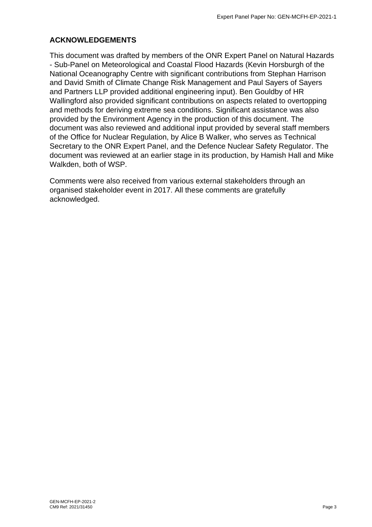#### <span id="page-3-0"></span>**ACKNOWLEDGEMENTS**

This document was drafted by members of the ONR Expert Panel on Natural Hazards - Sub-Panel on Meteorological and Coastal Flood Hazards (Kevin Horsburgh of the National Oceanography Centre with significant contributions from Stephan Harrison and David Smith of Climate Change Risk Management and Paul Sayers of Sayers and Partners LLP provided additional engineering input). Ben Gouldby of HR Wallingford also provided significant contributions on aspects related to overtopping and methods for deriving extreme sea conditions. Significant assistance was also provided by the Environment Agency in the production of this document. The document was also reviewed and additional input provided by several staff members of the Office for Nuclear Regulation, by Alice B Walker, who serves as Technical Secretary to the ONR Expert Panel, and the Defence Nuclear Safety Regulator. The document was reviewed at an earlier stage in its production, by Hamish Hall and Mike Walkden, both of WSP.

Comments were also received from various external stakeholders through an organised stakeholder event in 2017. All these comments are gratefully acknowledged.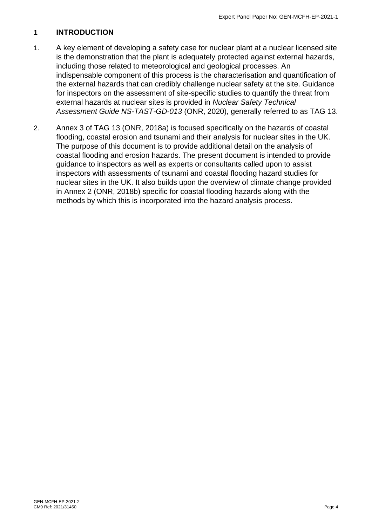#### <span id="page-4-0"></span>**1 INTRODUCTION**

- 1. A key element of developing a safety case for nuclear plant at a nuclear licensed site is the demonstration that the plant is adequately protected against external hazards, including those related to meteorological and geological processes. An indispensable component of this process is the characterisation and quantification of the external hazards that can credibly challenge nuclear safety at the site. Guidance for inspectors on the assessment of site-specific studies to quantify the threat from external hazards at nuclear sites is provided in *Nuclear Safety Technical Assessment Guide NS-TAST-GD-013* (ONR, 2020), generally referred to as TAG 13.
- 2. Annex 3 of TAG 13 (ONR, 2018a) is focused specifically on the hazards of coastal flooding, coastal erosion and tsunami and their analysis for nuclear sites in the UK. The purpose of this document is to provide additional detail on the analysis of coastal flooding and erosion hazards. The present document is intended to provide guidance to inspectors as well as experts or consultants called upon to assist inspectors with assessments of tsunami and coastal flooding hazard studies for nuclear sites in the UK. It also builds upon the overview of climate change provided in Annex 2 (ONR, 2018b) specific for coastal flooding hazards along with the methods by which this is incorporated into the hazard analysis process.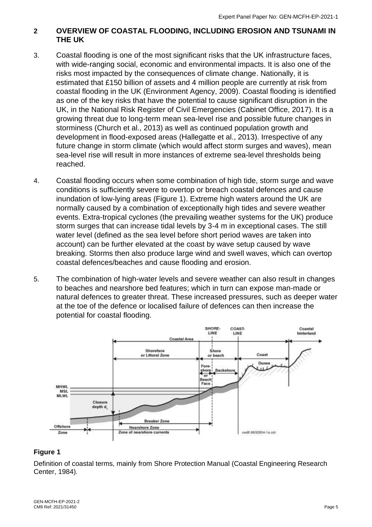#### <span id="page-5-0"></span>**2 OVERVIEW OF COASTAL FLOODING, INCLUDING EROSION AND TSUNAMI IN THE UK**

- 3. Coastal flooding is one of the most significant risks that the UK infrastructure faces, with wide-ranging social, economic and environmental impacts. It is also one of the risks most impacted by the consequences of climate change. Nationally, it is estimated that £150 billion of assets and 4 million people are currently at risk from coastal flooding in the UK (Environment Agency, 2009). Coastal flooding is identified as one of the key risks that have the potential to cause significant disruption in the UK, in the National Risk Register of Civil Emergencies (Cabinet Office, 2017). It is a growing threat due to long-term mean sea-level rise and possible future changes in storminess (Church et al., 2013) as well as continued population growth and development in flood-exposed areas (Hallegatte et al., 2013). Irrespective of any future change in storm climate (which would affect storm surges and waves), mean sea-level rise will result in more instances of extreme sea-level thresholds being reached.
- 4. Coastal flooding occurs when some combination of high tide, storm surge and wave conditions is sufficiently severe to overtop or breach coastal defences and cause inundation of low-lying areas (Figure 1). Extreme high waters around the UK are normally caused by a combination of exceptionally high tides and severe weather events. Extra-tropical cyclones (the prevailing weather systems for the UK) produce storm surges that can increase tidal levels by 3-4 m in exceptional cases. The still water level (defined as the sea level before short period waves are taken into account) can be further elevated at the coast by wave setup caused by wave breaking. Storms then also produce large wind and swell waves, which can overtop coastal defences/beaches and cause flooding and erosion.
- 5. The combination of high-water levels and severe weather can also result in changes to beaches and nearshore bed features; which in turn can expose man-made or natural defences to greater threat. These increased pressures, such as deeper water at the toe of the defence or localised failure of defences can then increase the potential for coastal flooding.



#### **Figure 1**

Definition of coastal terms, mainly from Shore Protection Manual (Coastal Engineering Research Center, 1984).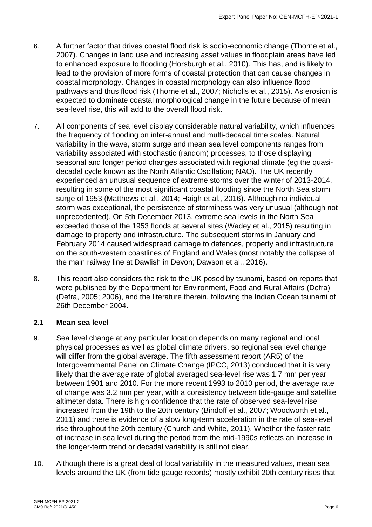- 6. A further factor that drives coastal flood risk is socio-economic change (Thorne et al., 2007). Changes in land use and increasing asset values in floodplain areas have led to enhanced exposure to flooding (Horsburgh et al., 2010). This has, and is likely to lead to the provision of more forms of coastal protection that can cause changes in coastal morphology. Changes in coastal morphology can also influence flood pathways and thus flood risk (Thorne et al., 2007; Nicholls et al., 2015). As erosion is expected to dominate coastal morphological change in the future because of mean sea-level rise, this will add to the overall flood risk.
- 7. All components of sea level display considerable natural variability, which influences the frequency of flooding on inter-annual and multi-decadal time scales. Natural variability in the wave, storm surge and mean sea level components ranges from variability associated with stochastic (random) processes, to those displaying seasonal and longer period changes associated with regional climate (eg the quasidecadal cycle known as the North Atlantic Oscillation; NAO). The UK recently experienced an unusual sequence of extreme storms over the winter of 2013-2014, resulting in some of the most significant coastal flooding since the North Sea storm surge of 1953 (Matthews et al., 2014; Haigh et al., 2016). Although no individual storm was exceptional, the persistence of storminess was very unusual (although not unprecedented). On 5th December 2013, extreme sea levels in the North Sea exceeded those of the 1953 floods at several sites (Wadey et al., 2015) resulting in damage to property and infrastructure. The subsequent storms in January and February 2014 caused widespread damage to defences, property and infrastructure on the south-western coastlines of England and Wales (most notably the collapse of the main railway line at Dawlish in Devon; Dawson et al., 2016).
- 8. This report also considers the risk to the UK posed by tsunami, based on reports that were published by the Department for Environment, Food and Rural Affairs (Defra) (Defra, 2005; 2006), and the literature therein, following the Indian Ocean tsunami of 26th December 2004.

#### <span id="page-6-0"></span>**2.1 Mean sea level**

- 9. Sea level change at any particular location depends on many regional and local physical processes as well as global climate drivers, so regional sea level change will differ from the global average. The fifth assessment report (AR5) of the Intergovernmental Panel on Climate Change (IPCC, 2013) concluded that it is very likely that the average rate of global averaged sea-level rise was 1.7 mm per year between 1901 and 2010. For the more recent 1993 to 2010 period, the average rate of change was 3.2 mm per year, with a consistency between tide-gauge and satellite altimeter data. There is high confidence that the rate of observed sea-level rise increased from the 19th to the 20th century (Bindoff et al., 2007; Woodworth et al., 2011) and there is evidence of a slow long-term acceleration in the rate of sea-level rise throughout the 20th century (Church and White, 2011). Whether the faster rate of increase in sea level during the period from the mid-1990s reflects an increase in the longer-term trend or decadal variability is still not clear.
- 10. Although there is a great deal of local variability in the measured values, mean sea levels around the UK (from tide gauge records) mostly exhibit 20th century rises that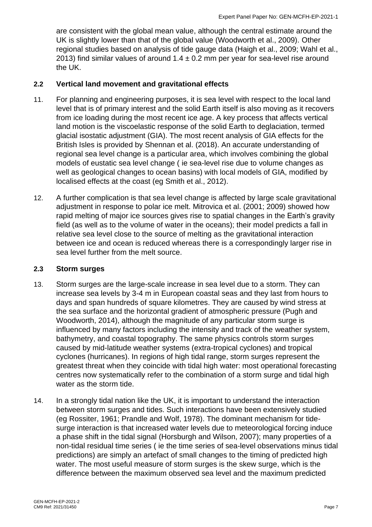are consistent with the global mean value, although the central estimate around the UK is slightly lower than that of the global value (Woodworth et al., 2009). Other regional studies based on analysis of tide gauge data (Haigh et al., 2009; Wahl et al., 2013) find similar values of around  $1.4 \pm 0.2$  mm per year for sea-level rise around the UK.

#### <span id="page-7-0"></span>**2.2 Vertical land movement and gravitational effects**

- 11. For planning and engineering purposes, it is sea level with respect to the local land level that is of primary interest and the solid Earth itself is also moving as it recovers from ice loading during the most recent ice age. A key process that affects vertical land motion is the viscoelastic response of the solid Earth to deglaciation, termed glacial isostatic adjustment (GIA). The most recent analysis of GIA effects for the British Isles is provided by Shennan et al. (2018). An accurate understanding of regional sea level change is a particular area, which involves combining the global models of eustatic sea level change ( ie sea-level rise due to volume changes as well as geological changes to ocean basins) with local models of GIA, modified by localised effects at the coast (eg Smith et al., 2012).
- 12. A further complication is that sea level change is affected by large scale gravitational adjustment in response to polar ice melt. Mitrovica et al. (2001; 2009) showed how rapid melting of major ice sources gives rise to spatial changes in the Earth's gravity field (as well as to the volume of water in the oceans); their model predicts a fall in relative sea level close to the source of melting as the gravitational interaction between ice and ocean is reduced whereas there is a correspondingly larger rise in sea level further from the melt source.

#### <span id="page-7-1"></span>**2.3 Storm surges**

- 13. Storm surges are the large-scale increase in sea level due to a storm. They can increase sea levels by 3-4 m in European coastal seas and they last from hours to days and span hundreds of square kilometres. They are caused by wind stress at the sea surface and the horizontal gradient of atmospheric pressure (Pugh and Woodworth, 2014), although the magnitude of any particular storm surge is influenced by many factors including the intensity and track of the weather system, bathymetry, and coastal topography. The same physics controls storm surges caused by mid-latitude weather systems (extra-tropical cyclones) and tropical cyclones (hurricanes). In regions of high tidal range, storm surges represent the greatest threat when they coincide with tidal high water: most operational forecasting centres now systematically refer to the combination of a storm surge and tidal high water as the storm tide.
- 14. In a strongly tidal nation like the UK, it is important to understand the interaction between storm surges and tides. Such interactions have been extensively studied (eg Rossiter, 1961; Prandle and Wolf, 1978). The dominant mechanism for tidesurge interaction is that increased water levels due to meteorological forcing induce a phase shift in the tidal signal (Horsburgh and Wilson, 2007); many properties of a non-tidal residual time series ( ie the time series of sea-level observations minus tidal predictions) are simply an artefact of small changes to the timing of predicted high water. The most useful measure of storm surges is the skew surge, which is the difference between the maximum observed sea level and the maximum predicted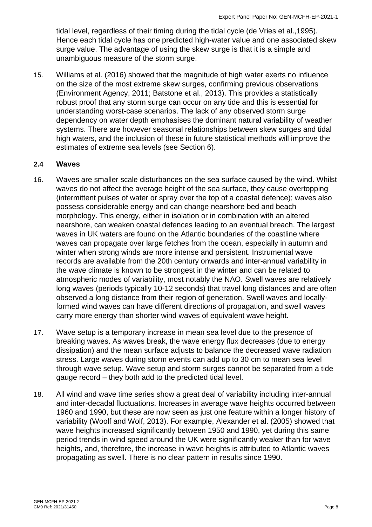tidal level, regardless of their timing during the tidal cycle (de Vries et al.,1995). Hence each tidal cycle has one predicted high-water value and one associated skew surge value. The advantage of using the skew surge is that it is a simple and unambiguous measure of the storm surge.

15. Williams et al. (2016) showed that the magnitude of high water exerts no influence on the size of the most extreme skew surges, confirming previous observations (Environment Agency, 2011; Batstone et al., 2013). This provides a statistically robust proof that any storm surge can occur on any tide and this is essential for understanding worst-case scenarios. The lack of any observed storm surge dependency on water depth emphasises the dominant natural variability of weather systems. There are however seasonal relationships between skew surges and tidal high waters, and the inclusion of these in future statistical methods will improve the estimates of extreme sea levels (see Section 6).

#### <span id="page-8-0"></span>**2.4 Waves**

- 16. Waves are smaller scale disturbances on the sea surface caused by the wind. Whilst waves do not affect the average height of the sea surface, they cause overtopping (intermittent pulses of water or spray over the top of a coastal defence); waves also possess considerable energy and can change nearshore bed and beach morphology. This energy, either in isolation or in combination with an altered nearshore, can weaken coastal defences leading to an eventual breach. The largest waves in UK waters are found on the Atlantic boundaries of the coastline where waves can propagate over large fetches from the ocean, especially in autumn and winter when strong winds are more intense and persistent. Instrumental wave records are available from the 20th century onwards and inter-annual variability in the wave climate is known to be strongest in the winter and can be related to atmospheric modes of variability, most notably the NAO. Swell waves are relatively long waves (periods typically 10-12 seconds) that travel long distances and are often observed a long distance from their region of generation. Swell waves and locallyformed wind waves can have different directions of propagation, and swell waves carry more energy than shorter wind waves of equivalent wave height.
- 17. Wave setup is a temporary increase in mean sea level due to the presence of breaking waves. As waves break, the wave energy flux decreases (due to energy dissipation) and the mean surface adjusts to balance the decreased wave radiation stress. Large waves during storm events can add up to 30 cm to mean sea level through wave setup. Wave setup and storm surges cannot be separated from a tide gauge record – they both add to the predicted tidal level.
- 18. All wind and wave time series show a great deal of variability including inter-annual and inter-decadal fluctuations. Increases in average wave heights occurred between 1960 and 1990, but these are now seen as just one feature within a longer history of variability (Woolf and Wolf, 2013). For example, Alexander et al. (2005) showed that wave heights increased significantly between 1950 and 1990, yet during this same period trends in wind speed around the UK were significantly weaker than for wave heights, and, therefore, the increase in wave heights is attributed to Atlantic waves propagating as swell. There is no clear pattern in results since 1990.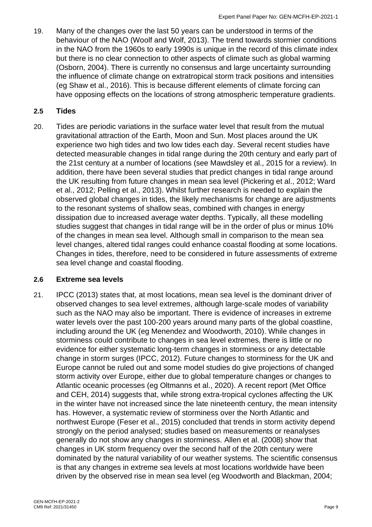19. Many of the changes over the last 50 years can be understood in terms of the behaviour of the NAO (Woolf and Wolf, 2013). The trend towards stormier conditions in the NAO from the 1960s to early 1990s is unique in the record of this climate index but there is no clear connection to other aspects of climate such as global warming (Osborn, 2004). There is currently no consensus and large uncertainty surrounding the influence of climate change on extratropical storm track positions and intensities (eg Shaw et al., 2016). This is because different elements of climate forcing can have opposing effects on the locations of strong atmospheric temperature gradients.

#### <span id="page-9-0"></span>**2.5 Tides**

20. Tides are periodic variations in the surface water level that result from the mutual gravitational attraction of the Earth, Moon and Sun. Most places around the UK experience two high tides and two low tides each day. Several recent studies have detected measurable changes in tidal range during the 20th century and early part of the 21st century at a number of locations (see Mawdsley et al., 2015 for a review). In addition, there have been several studies that predict changes in tidal range around the UK resulting from future changes in mean sea level (Pickering et al., 2012; Ward et al., 2012; Pelling et al., 2013). Whilst further research is needed to explain the observed global changes in tides, the likely mechanisms for change are adjustments to the resonant systems of shallow seas, combined with changes in energy dissipation due to increased average water depths. Typically, all these modelling studies suggest that changes in tidal range will be in the order of plus or minus 10% of the changes in mean sea level. Although small in comparison to the mean sea level changes, altered tidal ranges could enhance coastal flooding at some locations. Changes in tides, therefore, need to be considered in future assessments of extreme sea level change and coastal flooding.

#### <span id="page-9-1"></span>**2.6 Extreme sea levels**

21. IPCC (2013) states that, at most locations, mean sea level is the dominant driver of observed changes to sea level extremes, although large-scale modes of variability such as the NAO may also be important. There is evidence of increases in extreme water levels over the past 100-200 years around many parts of the global coastline, including around the UK (eg Menendez and Woodworth, 2010). While changes in storminess could contribute to changes in sea level extremes, there is little or no evidence for either systematic long-term changes in storminess or any detectable change in storm surges (IPCC, 2012). Future changes to storminess for the UK and Europe cannot be ruled out and some model studies do give projections of changed storm activity over Europe, either due to global temperature changes or changes to Atlantic oceanic processes (eg Oltmanns et al., 2020). A recent report (Met Office and CEH, 2014) suggests that, while strong extra-tropical cyclones affecting the UK in the winter have not increased since the late nineteenth century, the mean intensity has. However, a systematic review of storminess over the North Atlantic and northwest Europe (Feser et al., 2015) concluded that trends in storm activity depend strongly on the period analysed; studies based on measurements or reanalyses generally do not show any changes in storminess. Allen et al. (2008) show that changes in UK storm frequency over the second half of the 20th century were dominated by the natural variability of our weather systems. The scientific consensus is that any changes in extreme sea levels at most locations worldwide have been driven by the observed rise in mean sea level (eg Woodworth and Blackman, 2004;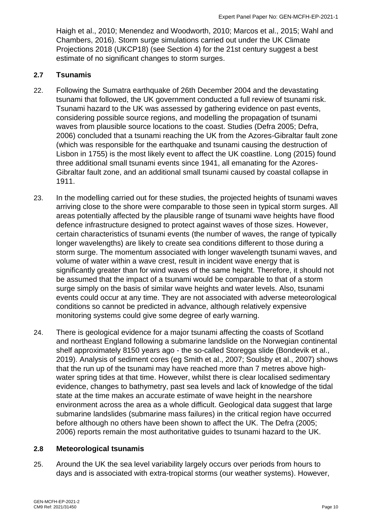Haigh et al., 2010; Menendez and Woodworth, 2010; Marcos et al., 2015; Wahl and Chambers, 2016). Storm surge simulations carried out under the UK Climate Projections 2018 (UKCP18) (see Section 4) for the 21st century suggest a best estimate of no significant changes to storm surges.

#### <span id="page-10-0"></span>**2.7 Tsunamis**

- 22. Following the Sumatra earthquake of 26th December 2004 and the devastating tsunami that followed, the UK government conducted a full review of tsunami risk. Tsunami hazard to the UK was assessed by gathering evidence on past events, considering possible source regions, and modelling the propagation of tsunami waves from plausible source locations to the coast. Studies (Defra 2005; Defra, 2006) concluded that a tsunami reaching the UK from the Azores-Gibraltar fault zone (which was responsible for the earthquake and tsunami causing the destruction of Lisbon in 1755) is the most likely event to affect the UK coastline. Long (2015) found three additional small tsunami events since 1941, all emanating for the Azores-Gibraltar fault zone, and an additional small tsunami caused by coastal collapse in 1911.
- 23. In the modelling carried out for these studies, the projected heights of tsunami waves arriving close to the shore were comparable to those seen in typical storm surges. All areas potentially affected by the plausible range of tsunami wave heights have flood defence infrastructure designed to protect against waves of those sizes. However, certain characteristics of tsunami events (the number of waves, the range of typically longer wavelengths) are likely to create sea conditions different to those during a storm surge. The momentum associated with longer wavelength tsunami waves, and volume of water within a wave crest, result in incident wave energy that is significantly greater than for wind waves of the same height. Therefore, it should not be assumed that the impact of a tsunami would be comparable to that of a storm surge simply on the basis of similar wave heights and water levels. Also, tsunami events could occur at any time. They are not associated with adverse meteorological conditions so cannot be predicted in advance, although relatively expensive monitoring systems could give some degree of early warning.
- 24. There is geological evidence for a major tsunami affecting the coasts of Scotland and northeast England following a submarine landslide on the Norwegian continental shelf approximately 8150 years ago - the so-called Storegga slide (Bondevik et al., 2019). Analysis of sediment cores (eg Smith et al., 2007; Soulsby et al., 2007) shows that the run up of the tsunami may have reached more than 7 metres above highwater spring tides at that time. However, whilst there is clear localised sedimentary evidence, changes to bathymetry, past sea levels and lack of knowledge of the tidal state at the time makes an accurate estimate of wave height in the nearshore environment across the area as a whole difficult. Geological data suggest that large submarine landslides (submarine mass failures) in the critical region have occurred before although no others have been shown to affect the UK. The Defra (2005; 2006) reports remain the most authoritative guides to tsunami hazard to the UK.

#### <span id="page-10-1"></span>**2.8 Meteorological tsunamis**

25. Around the UK the sea level variability largely occurs over periods from hours to days and is associated with extra-tropical storms (our weather systems). However,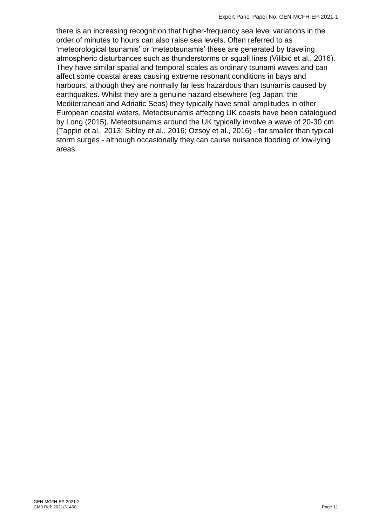there is an increasing recognition that higher-frequency sea level variations in the order of minutes to hours can also raise sea levels. Often referred to as 'meteorological tsunamis' or 'meteotsunamis' these are generated by traveling atmospheric disturbances such as thunderstorms or squall lines (Vilibić et al., 2016). They have similar spatial and temporal scales as ordinary tsunami waves and can affect some coastal areas causing extreme resonant conditions in bays and harbours, although they are normally far less hazardous than tsunamis caused by earthquakes. Whilst they are a genuine hazard elsewhere (eg Japan, the Mediterranean and Adriatic Seas) they typically have small amplitudes in other European coastal waters. Meteotsunamis affecting UK coasts have been catalogued by Long (2015). Meteotsunamis around the UK typically involve a wave of 20-30 cm (Tappin et al., 2013; Sibley et al., 2016; Ozsoy et al., 2016) - far smaller than typical storm surges - although occasionally they can cause nuisance flooding of low-lying areas.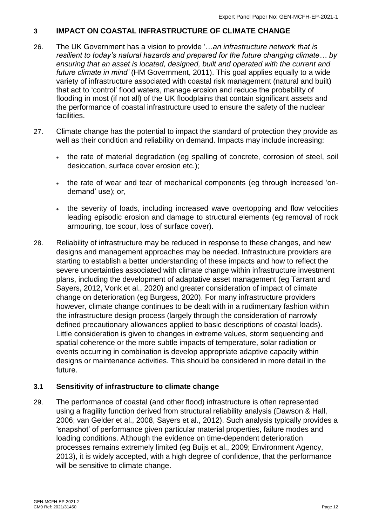#### <span id="page-12-0"></span>**3 IMPACT ON COASTAL INFRASTRUCTURE OF CLIMATE CHANGE**

- 26. The UK Government has a vision to provide '…*an infrastructure network that is resilient to today's natural hazards and prepared for the future changing climate*… *by ensuring that an asset is located, designed, built and operated with the current and future climate in mind'* (HM Government, 2011). This goal applies equally to a wide variety of infrastructure associated with coastal risk management (natural and built) that act to 'control' flood waters, manage erosion and reduce the probability of flooding in most (if not all) of the UK floodplains that contain significant assets and the performance of coastal infrastructure used to ensure the safety of the nuclear facilities.
- 27. Climate change has the potential to impact the standard of protection they provide as well as their condition and reliability on demand. Impacts may include increasing:
	- the rate of material degradation (eg spalling of concrete, corrosion of steel, soil desiccation, surface cover erosion etc.);
	- the rate of wear and tear of mechanical components (eg through increased 'ondemand' use); or,
	- the severity of loads, including increased wave overtopping and flow velocities leading episodic erosion and damage to structural elements (eg removal of rock armouring, toe scour, loss of surface cover).
- 28. Reliability of infrastructure may be reduced in response to these changes, and new designs and management approaches may be needed. Infrastructure providers are starting to establish a better understanding of these impacts and how to reflect the severe uncertainties associated with climate change within infrastructure investment plans, including the development of adaptative asset management (eg Tarrant and Sayers, 2012, Vonk et al., 2020) and greater consideration of impact of climate change on deterioration (eg Burgess, 2020). For many infrastructure providers however, climate change continues to be dealt with in a rudimentary fashion within the infrastructure design process (largely through the consideration of narrowly defined precautionary allowances applied to basic descriptions of coastal loads). Little consideration is given to changes in extreme values, storm sequencing and spatial coherence or the more subtle impacts of temperature, solar radiation or events occurring in combination is develop appropriate adaptive capacity within designs or maintenance activities. This should be considered in more detail in the future.

#### <span id="page-12-1"></span>**3.1 Sensitivity of infrastructure to climate change**

29. The performance of coastal (and other flood) infrastructure is often represented using a fragility function derived from structural reliability analysis (Dawson & Hall, 2006; van Gelder et al., 2008, Sayers et al., 2012). Such analysis typically provides a 'snapshot' of performance given particular material properties, failure modes and loading conditions. Although the evidence on time-dependent deterioration processes remains extremely limited (eg Buijs et al., 2009; Environment Agency, 2013), it is widely accepted, with a high degree of confidence, that the performance will be sensitive to climate change.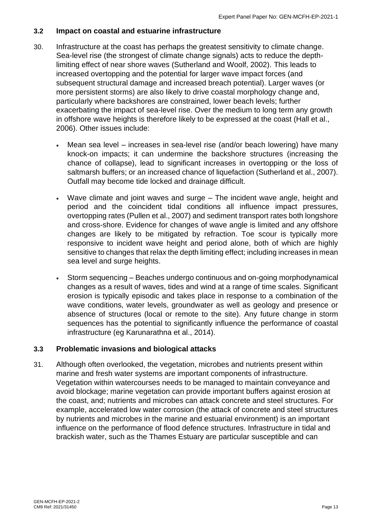#### <span id="page-13-0"></span>**3.2 Impact on coastal and estuarine infrastructure**

- 30. Infrastructure at the coast has perhaps the greatest sensitivity to climate change. Sea-level rise (the strongest of climate change signals) acts to reduce the depthlimiting effect of near shore waves (Sutherland and Woolf, 2002). This leads to increased overtopping and the potential for larger wave impact forces (and subsequent structural damage and increased breach potential). Larger waves (or more persistent storms) are also likely to drive coastal morphology change and, particularly where backshores are constrained, lower beach levels; further exacerbating the impact of sea-level rise. Over the medium to long term any growth in offshore wave heights is therefore likely to be expressed at the coast (Hall et al., 2006). Other issues include:
	- Mean sea level increases in sea-level rise (and/or beach lowering) have many knock-on impacts; it can undermine the backshore structures (increasing the chance of collapse), lead to significant increases in overtopping or the loss of saltmarsh buffers; or an increased chance of liquefaction (Sutherland et al., 2007). Outfall may become tide locked and drainage difficult.
	- Wave climate and joint waves and surge The incident wave angle, height and period and the coincident tidal conditions all influence impact pressures, overtopping rates (Pullen et al., 2007) and sediment transport rates both longshore and cross-shore. Evidence for changes of wave angle is limited and any offshore changes are likely to be mitigated by refraction. Toe scour is typically more responsive to incident wave height and period alone, both of which are highly sensitive to changes that relax the depth limiting effect; including increases in mean sea level and surge heights.
	- Storm sequencing Beaches undergo continuous and on-going morphodynamical changes as a result of waves, tides and wind at a range of time scales. Significant erosion is typically episodic and takes place in response to a combination of the wave conditions, water levels, groundwater as well as geology and presence or absence of structures (local or remote to the site). Any future change in storm sequences has the potential to significantly influence the performance of coastal infrastructure (eg Karunarathna et al., 2014).

#### <span id="page-13-1"></span>**3.3 Problematic invasions and biological attacks**

31. Although often overlooked, the vegetation, microbes and nutrients present within marine and fresh water systems are important components of infrastructure. Vegetation within watercourses needs to be managed to maintain conveyance and avoid blockage; marine vegetation can provide important buffers against erosion at the coast, and; nutrients and microbes can attack concrete and steel structures. For example, accelerated low water corrosion (the attack of concrete and steel structures by nutrients and microbes in the marine and estuarial environment) is an important influence on the performance of flood defence structures. Infrastructure in tidal and brackish water, such as the Thames Estuary are particular susceptible and can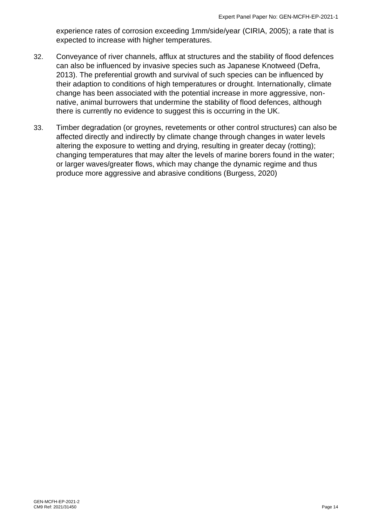experience rates of corrosion exceeding 1mm/side/year (CIRIA, 2005); a rate that is expected to increase with higher temperatures.

- 32. Conveyance of river channels, afflux at structures and the stability of flood defences can also be influenced by invasive species such as Japanese Knotweed (Defra, 2013). The preferential growth and survival of such species can be influenced by their adaption to conditions of high temperatures or drought. Internationally, climate change has been associated with the potential increase in more aggressive, nonnative, animal burrowers that undermine the stability of flood defences, although there is currently no evidence to suggest this is occurring in the UK.
- 33. Timber degradation (or groynes, revetements or other control structures) can also be affected directly and indirectly by climate change through changes in water levels altering the exposure to wetting and drying, resulting in greater decay (rotting); changing temperatures that may alter the levels of marine borers found in the water; or larger waves/greater flows, which may change the dynamic regime and thus produce more aggressive and abrasive conditions (Burgess, 2020)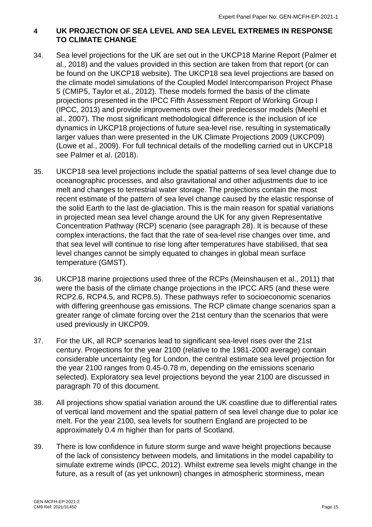#### <span id="page-15-0"></span>**4 UK PROJECTION OF SEA LEVEL AND SEA LEVEL EXTREMES IN RESPONSE TO CLIMATE CHANGE**

- 34. Sea level projections for the UK are set out in the UKCP18 Marine Report (Palmer et al., 2018) and the values provided in this section are taken from that report (or can be found on the UKCP18 website). The UKCP18 sea level projections are based on the climate model simulations of the Coupled Model Intercomparison Project Phase 5 (CMIP5, Taylor et al., 2012). These models formed the basis of the climate projections presented in the IPCC Fifth Assessment Report of Working Group I (IPCC, 2013) and provide improvements over their predecessor models (Meehl et al., 2007). The most significant methodological difference is the inclusion of ice dynamics in UKCP18 projections of future sea-level rise, resulting in systematically larger values than were presented in the UK Climate Projections 2009 (UKCP09) (Lowe et al., 2009). For full technical details of the modelling carried out in UKCP18 see Palmer et al. (2018).
- 35. UKCP18 sea level projections include the spatial patterns of sea level change due to oceanographic processes, and also gravitational and other adjustments due to ice melt and changes to terrestrial water storage. The projections contain the most recent estimate of the pattern of sea level change caused by the elastic response of the solid Earth to the last de-glaciation. This is the main reason for spatial variations in projected mean sea level change around the UK for any given Representative Concentration Pathway (RCP) scenario (see paragraph 28). It is because of these complex interactions, the fact that the rate of sea-level rise changes over time, and that sea level will continue to rise long after temperatures have stabilised, that sea level changes cannot be simply equated to changes in global mean surface temperature (GMST).
- 36. UKCP18 marine projections used three of the RCPs (Meinshausen et al., 2011) that were the basis of the climate change projections in the IPCC AR5 (and these were RCP2.6, RCP4.5, and RCP8.5). These pathways refer to socioeconomic scenarios with differing greenhouse gas emissions. The RCP climate change scenarios span a greater range of climate forcing over the 21st century than the scenarios that were used previously in UKCP09.
- 37. For the UK, all RCP scenarios lead to significant sea-level rises over the 21st century. Projections for the year 2100 (relative to the 1981-2000 average) contain considerable uncertainty (eg for London, the central estimate sea level projection for the year 2100 ranges from 0.45-0.78 m, depending on the emissions scenario selected). Exploratory sea level projections beyond the year 2100 are discussed in paragraph 70 of this document.
- 38. All projections show spatial variation around the UK coastline due to differential rates of vertical land movement and the spatial pattern of sea level change due to polar ice melt. For the year 2100, sea levels for southern England are projected to be approximately 0.4 m higher than for parts of Scotland.
- 39. There is low confidence in future storm surge and wave height projections because of the lack of consistency between models, and limitations in the model capability to simulate extreme winds (IPCC, 2012). Whilst extreme sea levels might change in the future, as a result of (as yet unknown) changes in atmospheric storminess, mean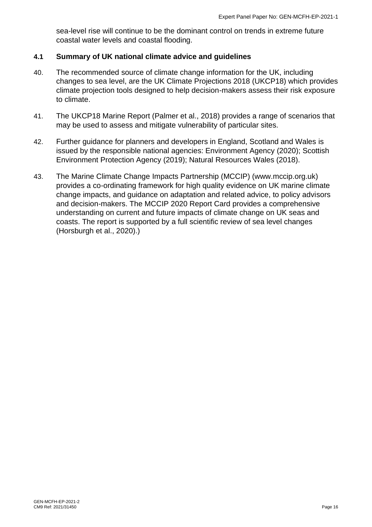sea-level rise will continue to be the dominant control on trends in extreme future coastal water levels and coastal flooding.

#### <span id="page-16-0"></span>**4.1 Summary of UK national climate advice and guidelines**

- 40. The recommended source of climate change information for the UK, including changes to sea level, are the UK Climate Projections 2018 (UKCP18) which provides climate projection tools designed to help decision-makers assess their risk exposure to climate.
- 41. The UKCP18 Marine Report (Palmer et al., 2018) provides a range of scenarios that may be used to assess and mitigate vulnerability of particular sites.
- 42. Further guidance for planners and developers in England, Scotland and Wales is issued by the responsible national agencies: Environment Agency (2020); Scottish Environment Protection Agency (2019); Natural Resources Wales (2018).
- 43. The Marine Climate Change Impacts Partnership (MCCIP) (www.mccip.org.uk) provides a co-ordinating framework for high quality evidence on UK marine climate change impacts, and guidance on adaptation and related advice, to policy advisors and decision-makers. The MCCIP 2020 Report Card provides a comprehensive understanding on current and future impacts of climate change on UK seas and coasts. The report is supported by a full scientific review of sea level changes (Horsburgh et al., 2020).)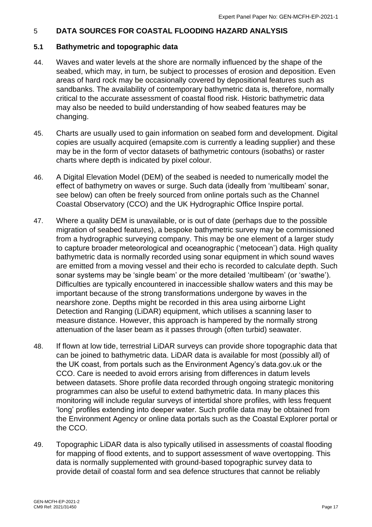#### <span id="page-17-0"></span>5 **DATA SOURCES FOR COASTAL FLOODING HAZARD ANALYSIS**

#### <span id="page-17-1"></span>**5.1 Bathymetric and topographic data**

- 44. Waves and water levels at the shore are normally influenced by the shape of the seabed, which may, in turn, be subject to processes of erosion and deposition. Even areas of hard rock may be occasionally covered by depositional features such as sandbanks. The availability of contemporary bathymetric data is, therefore, normally critical to the accurate assessment of coastal flood risk. Historic bathymetric data may also be needed to build understanding of how seabed features may be changing.
- 45. Charts are usually used to gain information on seabed form and development. Digital copies are usually acquired (emapsite.com is currently a leading supplier) and these may be in the form of vector datasets of bathymetric contours (isobaths) or raster charts where depth is indicated by pixel colour.
- 46. A Digital Elevation Model (DEM) of the seabed is needed to numerically model the effect of bathymetry on waves or surge. Such data (ideally from 'multibeam' sonar, see below) can often be freely sourced from online portals such as the Channel Coastal Observatory (CCO) and the UK Hydrographic Office Inspire portal.
- 47. Where a quality DEM is unavailable, or is out of date (perhaps due to the possible migration of seabed features), a bespoke bathymetric survey may be commissioned from a hydrographic surveying company. This may be one element of a larger study to capture broader meteorological and oceanographic ('metocean') data. High quality bathymetric data is normally recorded using sonar equipment in which sound waves are emitted from a moving vessel and their echo is recorded to calculate depth. Such sonar systems may be 'single beam' or the more detailed 'multibeam' (or 'swathe'). Difficulties are typically encountered in inaccessible shallow waters and this may be important because of the strong transformations undergone by waves in the nearshore zone. Depths might be recorded in this area using airborne Light Detection and Ranging (LiDAR) equipment, which utilises a scanning laser to measure distance. However, this approach is hampered by the normally strong attenuation of the laser beam as it passes through (often turbid) seawater.
- 48. If flown at low tide, terrestrial LiDAR surveys can provide shore topographic data that can be joined to bathymetric data. LiDAR data is available for most (possibly all) of the UK coast, from portals such as the Environment Agency's data.gov.uk or the CCO. Care is needed to avoid errors arising from differences in datum levels between datasets. Shore profile data recorded through ongoing strategic monitoring programmes can also be useful to extend bathymetric data. In many places this monitoring will include regular surveys of intertidal shore profiles, with less frequent 'long' profiles extending into deeper water. Such profile data may be obtained from the Environment Agency or online data portals such as the Coastal Explorer portal or the CCO.
- 49. Topographic LiDAR data is also typically utilised in assessments of coastal flooding for mapping of flood extents, and to support assessment of wave overtopping. This data is normally supplemented with ground-based topographic survey data to provide detail of coastal form and sea defence structures that cannot be reliably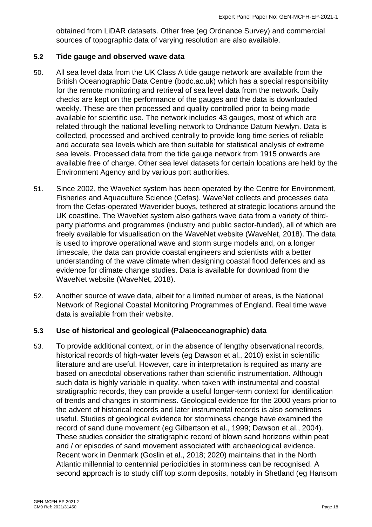obtained from LiDAR datasets. Other free (eg Ordnance Survey) and commercial sources of topographic data of varying resolution are also available.

#### <span id="page-18-0"></span>**5.2 Tide gauge and observed wave data**

- 50. All sea level data from the UK Class A tide gauge network are available from the British Oceanographic Data Centre (bodc.ac.uk) which has a special responsibility for the remote monitoring and retrieval of sea level data from the network. Daily checks are kept on the performance of the gauges and the data is downloaded weekly. These are then processed and quality controlled prior to being made available for scientific use. The network includes 43 gauges, most of which are related through the national levelling network to Ordnance Datum Newlyn. Data is collected, processed and archived centrally to provide long time series of reliable and accurate sea levels which are then suitable for statistical analysis of extreme sea levels. Processed data from the tide gauge network from 1915 onwards are available free of charge. Other sea level datasets for certain locations are held by the Environment Agency and by various port authorities.
- 51. Since 2002, the WaveNet system has been operated by the Centre for Environment, Fisheries and Aquaculture Science (Cefas). WaveNet collects and processes data from the Cefas-operated Waverider buoys, tethered at strategic locations around the UK coastline. The WaveNet system also gathers wave data from a variety of thirdparty platforms and programmes (industry and public sector-funded), all of which are freely available for visualisation on the WaveNet website (WaveNet, 2018). The data is used to improve operational wave and storm surge models and, on a longer timescale, the data can provide coastal engineers and scientists with a better understanding of the wave climate when designing coastal flood defences and as evidence for climate change studies. Data is available for download from the WaveNet website (WaveNet, 2018).
- 52. Another source of wave data, albeit for a limited number of areas, is the National Network of Regional Coastal Monitoring Programmes of England. Real time wave data is available from their website.

#### <span id="page-18-1"></span>**5.3 Use of historical and geological (Palaeoceanographic) data**

53. To provide additional context, or in the absence of lengthy observational records, historical records of high-water levels (eg Dawson et al., 2010) exist in scientific literature and are useful. However, care in interpretation is required as many are based on anecdotal observations rather than scientific instrumentation. Although such data is highly variable in quality, when taken with instrumental and coastal stratigraphic records, they can provide a useful longer-term context for identification of trends and changes in storminess. Geological evidence for the 2000 years prior to the advent of historical records and later instrumental records is also sometimes useful. Studies of geological evidence for storminess change have examined the record of sand dune movement (eg Gilbertson et al., 1999; Dawson et al., 2004). These studies consider the stratigraphic record of blown sand horizons within peat and / or episodes of sand movement associated with archaeological evidence. Recent work in Denmark (Goslin et al., 2018; 2020) maintains that in the North Atlantic millennial to centennial periodicities in storminess can be recognised. A second approach is to study cliff top storm deposits, notably in Shetland (eg Hansom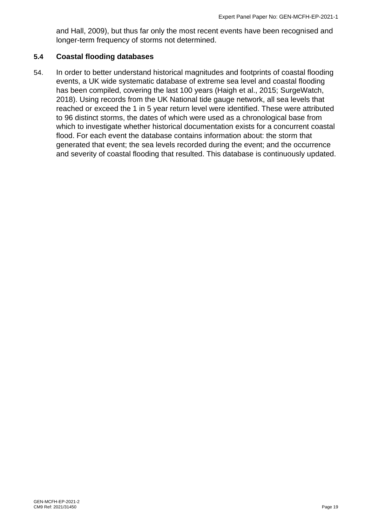and Hall, 2009), but thus far only the most recent events have been recognised and longer-term frequency of storms not determined.

#### <span id="page-19-0"></span>**5.4 Coastal flooding databases**

54. In order to better understand historical magnitudes and footprints of coastal flooding events, a UK wide systematic database of extreme sea level and coastal flooding has been compiled, covering the last 100 years (Haigh et al., 2015; SurgeWatch, 2018). Using records from the UK National tide gauge network, all sea levels that reached or exceed the 1 in 5 year return level were identified. These were attributed to 96 distinct storms, the dates of which were used as a chronological base from which to investigate whether historical documentation exists for a concurrent coastal flood. For each event the database contains information about: the storm that generated that event; the sea levels recorded during the event; and the occurrence and severity of coastal flooding that resulted. This database is continuously updated.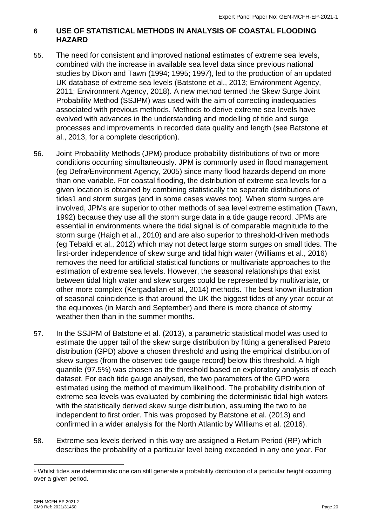#### <span id="page-20-0"></span>**6 USE OF STATISTICAL METHODS IN ANALYSIS OF COASTAL FLOODING HAZARD**

- 55. The need for consistent and improved national estimates of extreme sea levels, combined with the increase in available sea level data since previous national studies by Dixon and Tawn (1994; 1995; 1997), led to the production of an updated UK database of extreme sea levels (Batstone et al., 2013; Environment Agency, 2011; Environment Agency, 2018). A new method termed the Skew Surge Joint Probability Method (SSJPM) was used with the aim of correcting inadequacies associated with previous methods. Methods to derive extreme sea levels have evolved with advances in the understanding and modelling of tide and surge processes and improvements in recorded data quality and length (see Batstone et al., 2013, for a complete description).
- 56. Joint Probability Methods (JPM) produce probability distributions of two or more conditions occurring simultaneously. JPM is commonly used in flood management (eg Defra/Environment Agency, 2005) since many flood hazards depend on more than one variable. For coastal flooding, the distribution of extreme sea levels for a given location is obtained by combining statistically the separate distributions of tides1 and storm surges (and in some cases waves too). When storm surges are involved, JPMs are superior to other methods of sea level extreme estimation (Tawn, 1992) because they use all the storm surge data in a tide gauge record. JPMs are essential in environments where the tidal signal is of comparable magnitude to the storm surge (Haigh et al., 2010) and are also superior to threshold-driven methods (eg Tebaldi et al., 2012) which may not detect large storm surges on small tides. The first-order independence of skew surge and tidal high water (Williams et al., 2016) removes the need for artificial statistical functions or multivariate approaches to the estimation of extreme sea levels. However, the seasonal relationships that exist between tidal high water and skew surges could be represented by multivariate, or other more complex (Kergadallan et al., 2014) methods. The best known illustration of seasonal coincidence is that around the UK the biggest tides of any year occur at the equinoxes (in March and September) and there is more chance of stormy weather then than in the summer months.
- 57. In the SSJPM of Batstone et al. (2013), a parametric statistical model was used to estimate the upper tail of the skew surge distribution by fitting a generalised Pareto distribution (GPD) above a chosen threshold and using the empirical distribution of skew surges (from the observed tide gauge record) below this threshold. A high quantile (97.5%) was chosen as the threshold based on exploratory analysis of each dataset. For each tide gauge analysed, the two parameters of the GPD were estimated using the method of maximum likelihood. The probability distribution of extreme sea levels was evaluated by combining the deterministic tidal high waters with the statistically derived skew surge distribution, assuming the two to be independent to first order. This was proposed by Batstone et al. (2013) and confirmed in a wider analysis for the North Atlantic by Williams et al. (2016).
- 58. Extreme sea levels derived in this way are assigned a Return Period (RP) which describes the probability of a particular level being exceeded in any one year. For

<sup>1</sup> Whilst tides are deterministic one can still generate a probability distribution of a particular height occurring over a given period.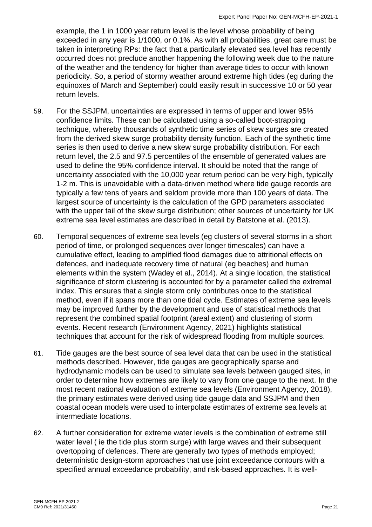example, the 1 in 1000 year return level is the level whose probability of being exceeded in any year is 1/1000, or 0.1%. As with all probabilities, great care must be taken in interpreting RPs: the fact that a particularly elevated sea level has recently occurred does not preclude another happening the following week due to the nature of the weather and the tendency for higher than average tides to occur with known periodicity. So, a period of stormy weather around extreme high tides (eg during the equinoxes of March and September) could easily result in successive 10 or 50 year return levels.

- 59. For the SSJPM, uncertainties are expressed in terms of upper and lower 95% confidence limits. These can be calculated using a so-called boot-strapping technique, whereby thousands of synthetic time series of skew surges are created from the derived skew surge probability density function. Each of the synthetic time series is then used to derive a new skew surge probability distribution. For each return level, the 2.5 and 97.5 percentiles of the ensemble of generated values are used to define the 95% confidence interval. It should be noted that the range of uncertainty associated with the 10,000 year return period can be very high, typically 1-2 m. This is unavoidable with a data-driven method where tide gauge records are typically a few tens of years and seldom provide more than 100 years of data. The largest source of uncertainty is the calculation of the GPD parameters associated with the upper tail of the skew surge distribution; other sources of uncertainty for UK extreme sea level estimates are described in detail by Batstone et al. (2013).
- 60. Temporal sequences of extreme sea levels (eg clusters of several storms in a short period of time, or prolonged sequences over longer timescales) can have a cumulative effect, leading to amplified flood damages due to attritional effects on defences, and inadequate recovery time of natural (eg beaches) and human elements within the system (Wadey et al., 2014). At a single location, the statistical significance of storm clustering is accounted for by a parameter called the extremal index. This ensures that a single storm only contributes once to the statistical method, even if it spans more than one tidal cycle. Estimates of extreme sea levels may be improved further by the development and use of statistical methods that represent the combined spatial footprint (areal extent) and clustering of storm events. Recent research (Environment Agency, 2021) highlights statistical techniques that account for the risk of widespread flooding from multiple sources.
- 61. Tide gauges are the best source of sea level data that can be used in the statistical methods described. However, tide gauges are geographically sparse and hydrodynamic models can be used to simulate sea levels between gauged sites, in order to determine how extremes are likely to vary from one gauge to the next. In the most recent national evaluation of extreme sea levels (Environment Agency, 2018), the primary estimates were derived using tide gauge data and SSJPM and then coastal ocean models were used to interpolate estimates of extreme sea levels at intermediate locations.
- 62. A further consideration for extreme water levels is the combination of extreme still water level ( ie the tide plus storm surge) with large waves and their subsequent overtopping of defences. There are generally two types of methods employed; deterministic design-storm approaches that use joint exceedance contours with a specified annual exceedance probability, and risk-based approaches. It is well-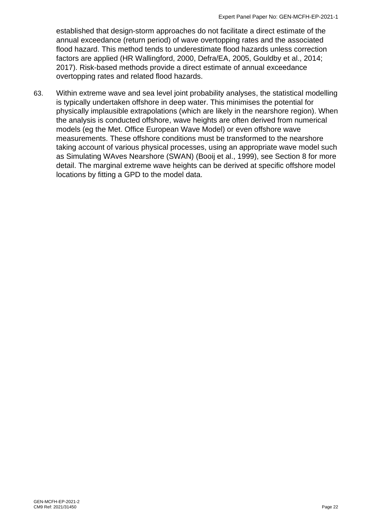established that design-storm approaches do not facilitate a direct estimate of the annual exceedance (return period) of wave overtopping rates and the associated flood hazard. This method tends to underestimate flood hazards unless correction factors are applied (HR Wallingford, 2000, Defra/EA, 2005, Gouldby et al., 2014; 2017). Risk-based methods provide a direct estimate of annual exceedance overtopping rates and related flood hazards.

63. Within extreme wave and sea level joint probability analyses, the statistical modelling is typically undertaken offshore in deep water. This minimises the potential for physically implausible extrapolations (which are likely in the nearshore region). When the analysis is conducted offshore, wave heights are often derived from numerical models (eg the Met. Office European Wave Model) or even offshore wave measurements. These offshore conditions must be transformed to the nearshore taking account of various physical processes, using an appropriate wave model such as Simulating WAves Nearshore (SWAN) (Booij et al., 1999), see Section 8 for more detail. The marginal extreme wave heights can be derived at specific offshore model locations by fitting a GPD to the model data.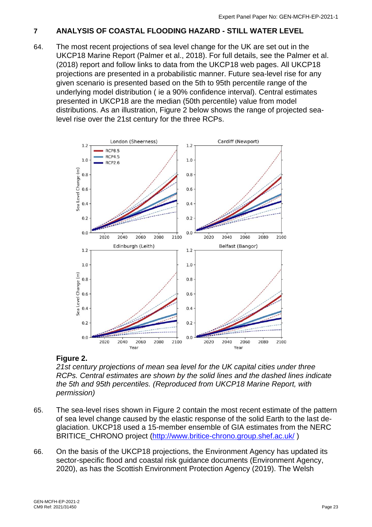#### <span id="page-23-0"></span>**7 ANALYSIS OF COASTAL FLOODING HAZARD - STILL WATER LEVEL**

64. The most recent projections of sea level change for the UK are set out in the UKCP18 Marine Report (Palmer et al., 2018). For full details, see the Palmer et al. (2018) report and follow links to data from the UKCP18 web pages. All UKCP18 projections are presented in a probabilistic manner. Future sea-level rise for any given scenario is presented based on the 5th to 95th percentile range of the underlying model distribution ( ie a 90% confidence interval). Central estimates presented in UKCP18 are the median (50th percentile) value from model distributions. As an illustration, Figure 2 below shows the range of projected sealevel rise over the 21st century for the three RCPs.



#### **Figure 2.**

*21st century projections of mean sea level for the UK capital cities under three RCPs. Central estimates are shown by the solid lines and the dashed lines indicate the 5th and 95th percentiles. (Reproduced from UKCP18 Marine Report, with permission)*

- 65. The sea-level rises shown in Figure 2 contain the most recent estimate of the pattern of sea level change caused by the elastic response of the solid Earth to the last deglaciation. UKCP18 used a 15-member ensemble of GIA estimates from the NERC BRITICE\_CHRONO project [\(http://www.britice-chrono.group.shef.ac.uk/](http://www.britice-chrono.group.shef.ac.uk/))
- 66. On the basis of the UKCP18 projections, the Environment Agency has updated its sector-specific flood and coastal risk guidance documents (Environment Agency, 2020), as has the Scottish Environment Protection Agency (2019). The Welsh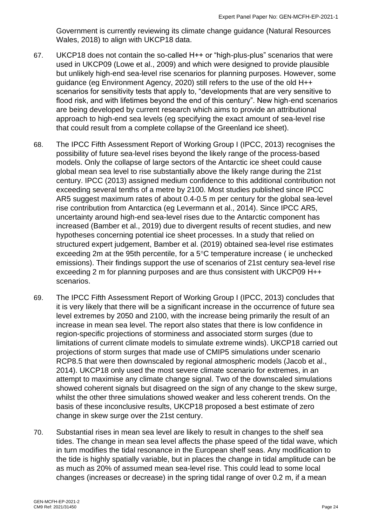Government is currently reviewing its climate change guidance (Natural Resources Wales, 2018) to align with UKCP18 data.

- 67. UKCP18 does not contain the so-called H++ or "high-plus-plus" scenarios that were used in UKCP09 (Lowe et al., 2009) and which were designed to provide plausible but unlikely high-end sea-level rise scenarios for planning purposes. However, some guidance (eg Environment Agency, 2020) still refers to the use of the old H++ scenarios for sensitivity tests that apply to, "developments that are very sensitive to flood risk, and with lifetimes beyond the end of this century". New high-end scenarios are being developed by current research which aims to provide an attributional approach to high-end sea levels (eg specifying the exact amount of sea-level rise that could result from a complete collapse of the Greenland ice sheet).
- 68. The IPCC Fifth Assessment Report of Working Group I (IPCC, 2013) recognises the possibility of future sea-level rises beyond the likely range of the process-based models. Only the collapse of large sectors of the Antarctic ice sheet could cause global mean sea level to rise substantially above the likely range during the 21st century. IPCC (2013) assigned medium confidence to this additional contribution not exceeding several tenths of a metre by 2100. Most studies published since IPCC AR5 suggest maximum rates of about 0.4-0.5 m per century for the global sea-level rise contribution from Antarctica (eg Levermann et al., 2014). Since IPCC AR5, uncertainty around high-end sea-level rises due to the Antarctic component has increased (Bamber et al., 2019) due to divergent results of recent studies, and new hypotheses concerning potential ice sheet processes. In a study that relied on structured expert judgement, Bamber et al. (2019) obtained sea-level rise estimates exceeding 2m at the 95th percentile, for a  $5^{\circ}$ C temperature increase (ie unchecked emissions). Their findings support the use of scenarios of 21st century sea-level rise exceeding 2 m for planning purposes and are thus consistent with UKCP09 H++ scenarios.
- 69. The IPCC Fifth Assessment Report of Working Group I (IPCC, 2013) concludes that it is very likely that there will be a significant increase in the occurrence of future sea level extremes by 2050 and 2100, with the increase being primarily the result of an increase in mean sea level. The report also states that there is low confidence in region-specific projections of storminess and associated storm surges (due to limitations of current climate models to simulate extreme winds). UKCP18 carried out projections of storm surges that made use of CMIP5 simulations under scenario RCP8.5 that were then downscaled by regional atmospheric models (Jacob et al., 2014). UKCP18 only used the most severe climate scenario for extremes, in an attempt to maximise any climate change signal. Two of the downscaled simulations showed coherent signals but disagreed on the sign of any change to the skew surge, whilst the other three simulations showed weaker and less coherent trends. On the basis of these inconclusive results, UKCP18 proposed a best estimate of zero change in skew surge over the 21st century.
- 70. Substantial rises in mean sea level are likely to result in changes to the shelf sea tides. The change in mean sea level affects the phase speed of the tidal wave, which in turn modifies the tidal resonance in the European shelf seas. Any modification to the tide is highly spatially variable, but in places the change in tidal amplitude can be as much as 20% of assumed mean sea-level rise. This could lead to some local changes (increases or decrease) in the spring tidal range of over 0.2 m, if a mean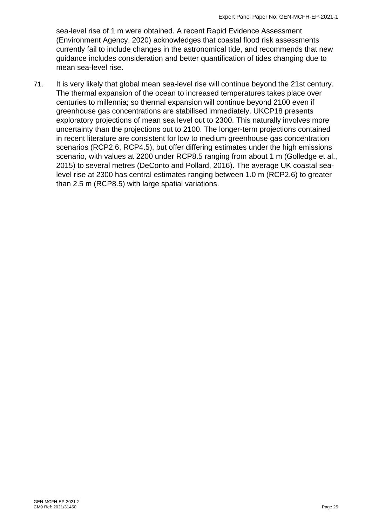sea-level rise of 1 m were obtained. A recent Rapid Evidence Assessment (Environment Agency, 2020) acknowledges that coastal flood risk assessments currently fail to include changes in the astronomical tide, and recommends that new guidance includes consideration and better quantification of tides changing due to mean sea-level rise.

71. It is very likely that global mean sea-level rise will continue beyond the 21st century. The thermal expansion of the ocean to increased temperatures takes place over centuries to millennia; so thermal expansion will continue beyond 2100 even if greenhouse gas concentrations are stabilised immediately. UKCP18 presents exploratory projections of mean sea level out to 2300. This naturally involves more uncertainty than the projections out to 2100. The longer-term projections contained in recent literature are consistent for low to medium greenhouse gas concentration scenarios (RCP2.6, RCP4.5), but offer differing estimates under the high emissions scenario, with values at 2200 under RCP8.5 ranging from about 1 m (Golledge et al., 2015) to several metres (DeConto and Pollard, 2016). The average UK coastal sealevel rise at 2300 has central estimates ranging between 1.0 m (RCP2.6) to greater than 2.5 m (RCP8.5) with large spatial variations.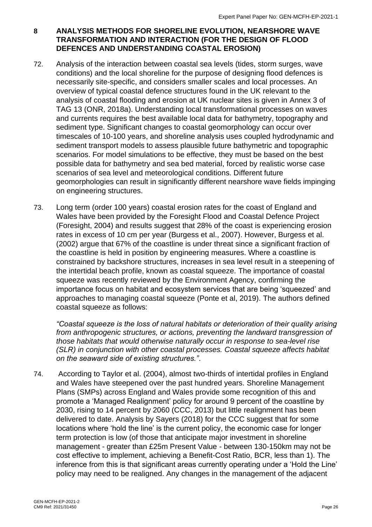#### <span id="page-26-0"></span>**8 ANALYSIS METHODS FOR SHORELINE EVOLUTION, NEARSHORE WAVE TRANSFORMATION AND INTERACTION (FOR THE DESIGN OF FLOOD DEFENCES AND UNDERSTANDING COASTAL EROSION)**

- 72. Analysis of the interaction between coastal sea levels (tides, storm surges, wave conditions) and the local shoreline for the purpose of designing flood defences is necessarily site-specific, and considers smaller scales and local processes. An overview of typical coastal defence structures found in the UK relevant to the analysis of coastal flooding and erosion at UK nuclear sites is given in Annex 3 of TAG 13 (ONR, 2018a). Understanding local transformational processes on waves and currents requires the best available local data for bathymetry, topography and sediment type. Significant changes to coastal geomorphology can occur over timescales of 10-100 years, and shoreline analysis uses coupled hydrodynamic and sediment transport models to assess plausible future bathymetric and topographic scenarios. For model simulations to be effective, they must be based on the best possible data for bathymetry and sea bed material, forced by realistic worse case scenarios of sea level and meteorological conditions. Different future geomorphologies can result in significantly different nearshore wave fields impinging on engineering structures.
- 73. Long term (order 100 years) coastal erosion rates for the coast of England and Wales have been provided by the Foresight Flood and Coastal Defence Project (Foresight, 2004) and results suggest that 28% of the coast is experiencing erosion rates in excess of 10 cm per year (Burgess et al., 2007). However, Burgess et al. (2002) argue that 67% of the coastline is under threat since a significant fraction of the coastline is held in position by engineering measures. Where a coastline is constrained by backshore structures, increases in sea level result in a steepening of the intertidal beach profile, known as coastal squeeze. The importance of coastal squeeze was recently reviewed by the Environment Agency, confirming the importance focus on habitat and ecosystem services that are being 'squeezed' and approaches to managing coastal squeeze (Ponte et al, 2019). The authors defined coastal squeeze as follows:

*"Coastal squeeze is the loss of natural habitats or deterioration of their quality arising from anthropogenic structures, or actions, preventing the landward transgression of those habitats that would otherwise naturally occur in response to sea-level rise (SLR) in conjunction with other coastal processes. Coastal squeeze affects habitat on the seaward side of existing structures."*.

74. According to Taylor et al. (2004), almost two-thirds of intertidal profiles in England and Wales have steepened over the past hundred years. Shoreline Management Plans (SMPs) across England and Wales provide some recognition of this and promote a 'Managed Realignment' policy for around 9 percent of the coastline by 2030, rising to 14 percent by 2060 (CCC, 2013) but little realignment has been delivered to date. Analysis by Sayers (2018) for the CCC suggest that for some locations where 'hold the line' is the current policy, the economic case for longer term protection is low (of those that anticipate major investment in shoreline management - greater than £25m Present Value - between 130-150km may not be cost effective to implement, achieving a Benefit-Cost Ratio, BCR, less than 1). The inference from this is that significant areas currently operating under a 'Hold the Line' policy may need to be realigned. Any changes in the management of the adjacent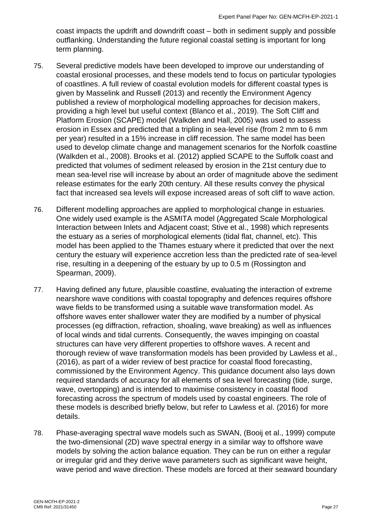coast impacts the updrift and downdrift coast – both in sediment supply and possible outflanking. Understanding the future regional coastal setting is important for long term planning.

- 75. Several predictive models have been developed to improve our understanding of coastal erosional processes, and these models tend to focus on particular typologies of coastlines. A full review of coastal evolution models for different coastal types is given by Masselink and Russell (2013) and recently the Environment Agency published a review of morphological modelling approaches for decision makers, providing a high level but useful context (Blanco et al., 2019). The Soft Cliff and Platform Erosion (SCAPE) model (Walkden and Hall, 2005) was used to assess erosion in Essex and predicted that a tripling in sea-level rise (from 2 mm to 6 mm per year) resulted in a 15% increase in cliff recession. The same model has been used to develop climate change and management scenarios for the Norfolk coastline (Walkden et al., 2008). Brooks et al. (2012) applied SCAPE to the Suffolk coast and predicted that volumes of sediment released by erosion in the 21st century due to mean sea-level rise will increase by about an order of magnitude above the sediment release estimates for the early 20th century. All these results convey the physical fact that increased sea levels will expose increased areas of soft cliff to wave action.
- 76. Different modelling approaches are applied to morphological change in estuaries. One widely used example is the ASMITA model (Aggregated Scale Morphological Interaction between Inlets and Adjacent coast; Stive et al., 1998) which represents the estuary as a series of morphological elements (tidal flat, channel, etc). This model has been applied to the Thames estuary where it predicted that over the next century the estuary will experience accretion less than the predicted rate of sea-level rise, resulting in a deepening of the estuary by up to 0.5 m (Rossington and Spearman, 2009).
- 77. Having defined any future, plausible coastline, evaluating the interaction of extreme nearshore wave conditions with coastal topography and defences requires offshore wave fields to be transformed using a suitable wave transformation model. As offshore waves enter shallower water they are modified by a number of physical processes (eg diffraction, refraction, shoaling, wave breaking) as well as influences of local winds and tidal currents. Consequently, the waves impinging on coastal structures can have very different properties to offshore waves. A recent and thorough review of wave transformation models has been provided by Lawless et al., (2016), as part of a wider review of best practice for coastal flood forecasting, commissioned by the Environment Agency. This guidance document also lays down required standards of accuracy for all elements of sea level forecasting (tide, surge, wave, overtopping) and is intended to maximise consistency in coastal flood forecasting across the spectrum of models used by coastal engineers. The role of these models is described briefly below, but refer to Lawless et al. (2016) for more details.
- 78. Phase-averaging spectral wave models such as SWAN, (Booij et al., 1999) compute the two-dimensional (2D) wave spectral energy in a similar way to offshore wave models by solving the action balance equation. They can be run on either a regular or irregular grid and they derive wave parameters such as significant wave height, wave period and wave direction. These models are forced at their seaward boundary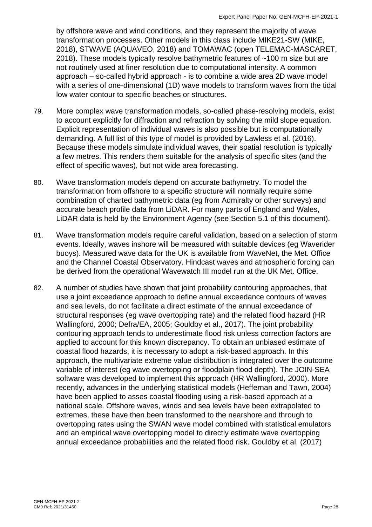by offshore wave and wind conditions, and they represent the majority of wave transformation processes. Other models in this class include MIKE21-SW (MIKE, 2018), STWAVE (AQUAVEO, 2018) and TOMAWAC (open TELEMAC-MASCARET, 2018). These models typically resolve bathymetric features of ~100 m size but are not routinely used at finer resolution due to computational intensity. A common approach – so-called hybrid approach - is to combine a wide area 2D wave model with a series of one-dimensional (1D) wave models to transform waves from the tidal low water contour to specific beaches or structures.

- 79. More complex wave transformation models, so-called phase-resolving models, exist to account explicitly for diffraction and refraction by solving the mild slope equation. Explicit representation of individual waves is also possible but is computationally demanding. A full list of this type of model is provided by Lawless et al. (2016). Because these models simulate individual waves, their spatial resolution is typically a few metres. This renders them suitable for the analysis of specific sites (and the effect of specific waves), but not wide area forecasting.
- 80. Wave transformation models depend on accurate bathymetry. To model the transformation from offshore to a specific structure will normally require some combination of charted bathymetric data (eg from Admiralty or other surveys) and accurate beach profile data from LiDAR. For many parts of England and Wales, LiDAR data is held by the Environment Agency (see Section 5.1 of this document).
- 81. Wave transformation models require careful validation, based on a selection of storm events. Ideally, waves inshore will be measured with suitable devices (eg Waverider buoys). Measured wave data for the UK is available from WaveNet, the Met. Office and the Channel Coastal Observatory. Hindcast waves and atmospheric forcing can be derived from the operational Wavewatch III model run at the UK Met. Office.
- 82. A number of studies have shown that joint probability contouring approaches, that use a joint exceedance approach to define annual exceedance contours of waves and sea levels, do not facilitate a direct estimate of the annual exceedance of structural responses (eg wave overtopping rate) and the related flood hazard (HR Wallingford, 2000; Defra/EA, 2005; Gouldby et al., 2017). The joint probability contouring approach tends to underestimate flood risk unless correction factors are applied to account for this known discrepancy. To obtain an unbiased estimate of coastal flood hazards, it is necessary to adopt a risk-based approach. In this approach, the multivariate extreme value distribution is integrated over the outcome variable of interest (eg wave overtopping or floodplain flood depth). The JOIN-SEA software was developed to implement this approach (HR Wallingford, 2000). More recently, advances in the underlying statistical models (Heffernan and Tawn, 2004) have been applied to asses coastal flooding using a risk-based approach at a national scale. Offshore waves, winds and sea levels have been extrapolated to extremes, these have then been transformed to the nearshore and through to overtopping rates using the SWAN wave model combined with statistical emulators and an empirical wave overtopping model to directly estimate wave overtopping annual exceedance probabilities and the related flood risk. Gouldby et al. (2017)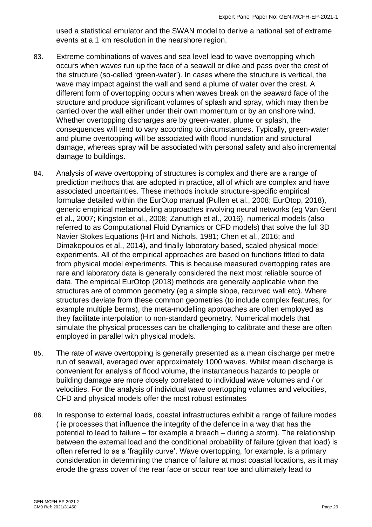used a statistical emulator and the SWAN model to derive a national set of extreme events at a 1 km resolution in the nearshore region.

- 83. Extreme combinations of waves and sea level lead to wave overtopping which occurs when waves run up the face of a seawall or dike and pass over the crest of the structure (so-called 'green-water'). In cases where the structure is vertical, the wave may impact against the wall and send a plume of water over the crest. A different form of overtopping occurs when waves break on the seaward face of the structure and produce significant volumes of splash and spray, which may then be carried over the wall either under their own momentum or by an onshore wind. Whether overtopping discharges are by green-water, plume or splash, the consequences will tend to vary according to circumstances. Typically, green-water and plume overtopping will be associated with flood inundation and structural damage, whereas spray will be associated with personal safety and also incremental damage to buildings.
- 84. Analysis of wave overtopping of structures is complex and there are a range of prediction methods that are adopted in practice, all of which are complex and have associated uncertainties. These methods include structure-specific empirical formulae detailed within the EurOtop manual (Pullen et al., 2008; EurOtop, 2018), generic empirical metamodeling approaches involving neural networks (eg Van Gent et al., 2007; Kingston et al., 2008; Zanuttigh et al., 2016), numerical models (also referred to as Computational Fluid Dynamics or CFD models) that solve the full 3D Navier Stokes Equations (Hirt and Nichols, 1981; Chen et al., 2016; and Dimakopoulos et al., 2014), and finally laboratory based, scaled physical model experiments. All of the empirical approaches are based on functions fitted to data from physical model experiments. This is because measured overtopping rates are rare and laboratory data is generally considered the next most reliable source of data. The empirical EurOtop (2018) methods are generally applicable when the structures are of common geometry (eg a simple slope, recurved wall etc). Where structures deviate from these common geometries (to include complex features, for example multiple berms), the meta-modelling approaches are often employed as they facilitate interpolation to non-standard geometry. Numerical models that simulate the physical processes can be challenging to calibrate and these are often employed in parallel with physical models.
- 85. The rate of wave overtopping is generally presented as a mean discharge per metre run of seawall, averaged over approximately 1000 waves. Whilst mean discharge is convenient for analysis of flood volume, the instantaneous hazards to people or building damage are more closely correlated to individual wave volumes and / or velocities. For the analysis of individual wave overtopping volumes and velocities, CFD and physical models offer the most robust estimates
- 86. In response to external loads, coastal infrastructures exhibit a range of failure modes ( ie processes that influence the integrity of the defence in a way that has the potential to lead to failure – for example a breach – during a storm). The relationship between the external load and the conditional probability of failure (given that load) is often referred to as a 'fragility curve'. Wave overtopping, for example, is a primary consideration in determining the chance of failure at most coastal locations, as it may erode the grass cover of the rear face or scour rear toe and ultimately lead to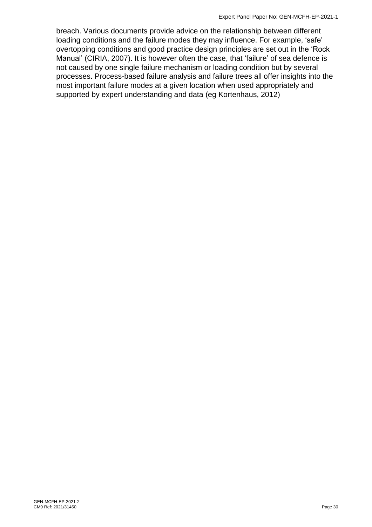breach. Various documents provide advice on the relationship between different loading conditions and the failure modes they may influence. For example, 'safe' overtopping conditions and good practice design principles are set out in the 'Rock Manual' (CIRIA, 2007). It is however often the case, that 'failure' of sea defence is not caused by one single failure mechanism or loading condition but by several processes. Process-based failure analysis and failure trees all offer insights into the most important failure modes at a given location when used appropriately and supported by expert understanding and data (eg Kortenhaus, 2012)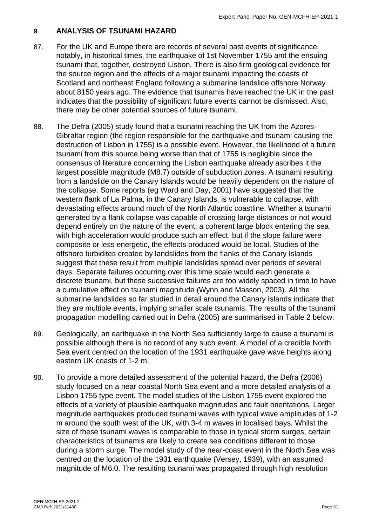#### <span id="page-31-0"></span>**9 ANALYSIS OF TSUNAMI HAZARD**

- 87. For the UK and Europe there are records of several past events of significance, notably, in historical times, the earthquake of 1st November 1755 and the ensuing tsunami that, together, destroyed Lisbon. There is also firm geological evidence for the source region and the effects of a major tsunami impacting the coasts of Scotland and northeast England following a submarine landslide offshore Norway about 8150 years ago. The evidence that tsunamis have reached the UK in the past indicates that the possibility of significant future events cannot be dismissed. Also, there may be other potential sources of future tsunami.
- 88. The Defra (2005) study found that a tsunami reaching the UK from the Azores-Gibraltar region (the region responsible for the earthquake and tsunami causing the destruction of Lisbon in 1755) is a possible event. However, the likelihood of a future tsunami from this source being worse than that of 1755 is negligible since the consensus of literature concerning the Lisbon earthquake already ascribes it the largest possible magnitude (M8.7) outside of subduction zones. A tsunami resulting from a landslide on the Canary Islands would be heavily dependent on the nature of the collapse. Some reports (eg Ward and Day, 2001) have suggested that the western flank of La Palma, in the Canary Islands, is vulnerable to collapse, with devastating effects around much of the North Atlantic coastline. Whether a tsunami generated by a flank collapse was capable of crossing large distances or not would depend entirely on the nature of the event; a coherent large block entering the sea with high acceleration would produce such an effect, but if the slope failure were composite or less energetic, the effects produced would be local. Studies of the offshore turbidites created by landslides from the flanks of the Canary Islands suggest that these result from multiple landslides spread over periods of several days. Separate failures occurring over this time scale would each generate a discrete tsunami, but these successive failures are too widely spaced in time to have a cumulative effect on tsunami magnitude (Wynn and Masson, 2003). All the submarine landslides so far studied in detail around the Canary Islands indicate that they are multiple events, implying smaller scale tsunamis. The results of the tsunami propagation modelling carried out in Defra (2005) are summarised in Table 2 below.
- 89. Geologically, an earthquake in the North Sea sufficiently large to cause a tsunami is possible although there is no record of any such event. A model of a credible North Sea event centred on the location of the 1931 earthquake gave wave heights along eastern UK coasts of 1-2 m.
- 90. To provide a more detailed assessment of the potential hazard, the Defra (2006) study focused on a near coastal North Sea event and a more detailed analysis of a Lisbon 1755 type event. The model studies of the Lisbon 1755 event explored the effects of a variety of plausible earthquake magnitudes and fault orientations. Larger magnitude earthquakes produced tsunami waves with typical wave amplitudes of 1-2 m around the south west of the UK, with 3-4 m waves in localised bays. Whilst the size of these tsunami waves is comparable to those in typical storm surges, certain characteristics of tsunamis are likely to create sea conditions different to those during a storm surge. The model study of the near-coast event in the North Sea was centred on the location of the 1931 earthquake (Versey, 1939), with an assumed magnitude of M6.0. The resulting tsunami was propagated through high resolution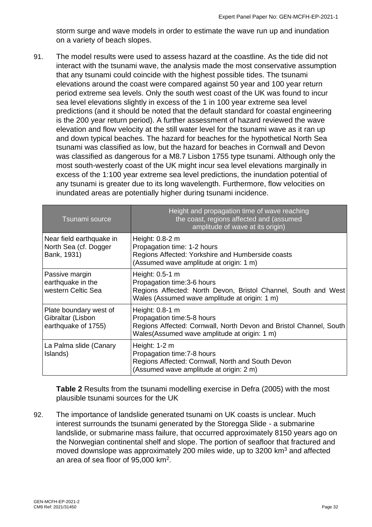storm surge and wave models in order to estimate the wave run up and inundation on a variety of beach slopes.

91. The model results were used to assess hazard at the coastline. As the tide did not interact with the tsunami wave, the analysis made the most conservative assumption that any tsunami could coincide with the highest possible tides. The tsunami elevations around the coast were compared against 50 year and 100 year return period extreme sea levels. Only the south west coast of the UK was found to incur sea level elevations slightly in excess of the 1 in 100 year extreme sea level predictions (and it should be noted that the default standard for coastal engineering is the 200 year return period). A further assessment of hazard reviewed the wave elevation and flow velocity at the still water level for the tsunami wave as it ran up and down typical beaches. The hazard for beaches for the hypothetical North Sea tsunami was classified as low, but the hazard for beaches in Cornwall and Devon was classified as dangerous for a M8.7 Lisbon 1755 type tsunami. Although only the most south-westerly coast of the UK might incur sea level elevations marginally in excess of the 1:100 year extreme sea level predictions, the inundation potential of any tsunami is greater due to its long wavelength. Furthermore, flow velocities on inundated areas are potentially higher during tsunami incidence.

| Tsunami source                                                     | Height and propagation time of wave reaching<br>the coast, regions affected and (assumed<br>amplitude of wave at its origin)                                         |
|--------------------------------------------------------------------|----------------------------------------------------------------------------------------------------------------------------------------------------------------------|
| Near field earthquake in<br>North Sea (cf. Dogger<br>Bank, 1931)   | Height: 0.8-2 m<br>Propagation time: 1-2 hours<br>Regions Affected: Yorkshire and Humberside coasts<br>(Assumed wave amplitude at origin: 1 m)                       |
| Passive margin<br>earthquake in the<br>western Celtic Sea          | Height: 0.5-1 m<br>Propagation time: 3-6 hours<br>Regions Affected: North Devon, Bristol Channel, South and West<br>Wales (Assumed wave amplitude at origin: 1 m)    |
| Plate boundary west of<br>Gibraltar (Lisbon<br>earthquake of 1755) | Height: 0.8-1 m<br>Propagation time: 5-8 hours<br>Regions Affected: Cornwall, North Devon and Bristol Channel, South<br>Wales(Assumed wave amplitude at origin: 1 m) |
| La Palma slide (Canary<br>Islands)                                 | Height: $1-2$ m<br>Propagation time: 7-8 hours<br>Regions Affected: Cornwall, North and South Devon<br>(Assumed wave amplitude at origin: 2 m)                       |

**Table 2** Results from the tsunami modelling exercise in Defra (2005) with the most plausible tsunami sources for the UK

92. The importance of landslide generated tsunami on UK coasts is unclear. Much interest surrounds the tsunami generated by the Storegga Slide - a submarine landslide, or submarine mass failure, that occurred approximately 8150 years ago on the Norwegian continental shelf and slope. The portion of seafloor that fractured and moved downslope was approximately 200 miles wide, up to 3200 km<sup>3</sup> and affected an area of sea floor of 95,000 km<sup>2</sup>.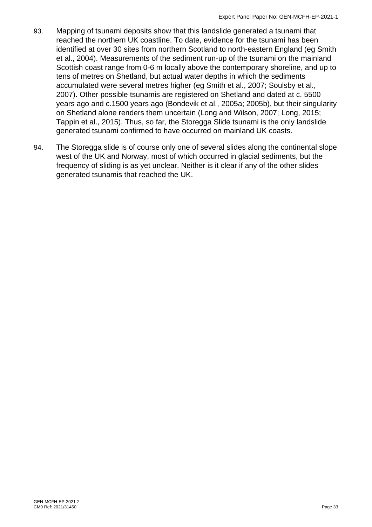- 93. Mapping of tsunami deposits show that this landslide generated a tsunami that reached the northern UK coastline. To date, evidence for the tsunami has been identified at over 30 sites from northern Scotland to north-eastern England (eg Smith et al., 2004). Measurements of the sediment run-up of the tsunami on the mainland Scottish coast range from 0-6 m locally above the contemporary shoreline, and up to tens of metres on Shetland, but actual water depths in which the sediments accumulated were several metres higher (eg Smith et al., 2007; Soulsby et al., 2007). Other possible tsunamis are registered on Shetland and dated at c. 5500 years ago and c.1500 years ago (Bondevik et al., 2005a; 2005b), but their singularity on Shetland alone renders them uncertain (Long and Wilson, 2007; Long, 2015; Tappin et al., 2015). Thus, so far, the Storegga Slide tsunami is the only landslide generated tsunami confirmed to have occurred on mainland UK coasts.
- 94. The Storegga slide is of course only one of several slides along the continental slope west of the UK and Norway, most of which occurred in glacial sediments, but the frequency of sliding is as yet unclear. Neither is it clear if any of the other slides generated tsunamis that reached the UK.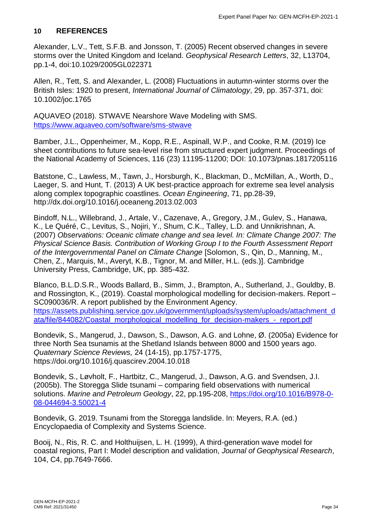#### <span id="page-34-0"></span>**10 REFERENCES**

Alexander, L.V., Tett, S.F.B. and Jonsson, T. (2005) Recent observed changes in severe storms over the United Kingdom and Iceland. *Geophysical Research Letters*, 32, L13704, pp.1-4, doi:10.1029/2005GL022371

Allen, R., Tett, S. and Alexander, L. (2008) Fluctuations in autumn-winter storms over the British Isles: 1920 to present, *International Journal of Climatology*, 29, pp. 357-371, doi: 10.1002/joc.1765

AQUAVEO (2018). STWAVE Nearshore Wave Modeling with SMS. <https://www.aquaveo.com/software/sms-stwave>

Bamber, J.L., Oppenheimer, M., Kopp, R.E., Aspinall, W.P., and Cooke, R.M. (2019) Ice sheet contributions to future sea-level rise from structured expert judgment. Proceedings of the National Academy of Sciences, 116 (23) 11195-11200; DOI: 10.1073/pnas.1817205116

Batstone, C., Lawless, M., Tawn, J., Horsburgh, K., Blackman, D., McMillan, A., Worth, D., Laeger, S. and Hunt, T. (2013) A UK best-practice approach for extreme sea level analysis along complex topographic coastlines. *Ocean Engineering*, 71, pp.28-39, http://dx.doi.org/10.1016/j.oceaneng.2013.02.003

Bindoff, N.L., Willebrand, J., Artale, V., Cazenave, A., Gregory, J.M., Gulev, S., Hanawa, K., Le Quéré, C., Levitus, S., Nojiri, Y., Shum, C.K., Talley, L.D. and Unnikrishnan, A. (2007) *Observations: Oceanic climate change and sea level. In: Climate Change 2007: The Physical Science Basis. Contribution of Working Group I to the Fourth Assessment Report of the Intergovernmental Panel on Climate Change* [Solomon, S., Qin, D., Manning, M., Chen, Z., Marquis, M., Averyt, K.B., Tignor, M. and Miller, H.L. (eds.)]. Cambridge University Press, Cambridge, UK, pp. 385-432.

Blanco, B.L.D.S.R., Woods Ballard, B., Simm, J., Brampton, A., Sutherland, J., Gouldby, B. and Rossington, K., (2019). Coastal morphological modelling for decision-makers. Report – SC090036/R. A report published by the Environment Agency. [https://assets.publishing.service.gov.uk/government/uploads/system/uploads/attachment\\_d](https://assets.publishing.service.gov.uk/government/uploads/system/uploads/attachment_data/file/844082/Coastal_morphological_modelling_for_decision-makers_-_report.pdf) [ata/file/844082/Coastal\\_morphological\\_modelling\\_for\\_decision-makers\\_-\\_report.pdf](https://assets.publishing.service.gov.uk/government/uploads/system/uploads/attachment_data/file/844082/Coastal_morphological_modelling_for_decision-makers_-_report.pdf)

Bondevik, S., Mangerud, J., Dawson, S., Dawson, A.G. and Lohne, Ø. (2005a) Evidence for three North Sea tsunamis at the Shetland Islands between 8000 and 1500 years ago. *Quaternary Science Reviews,* 24 (14-15), pp.1757-1775, https://doi.org/10.1016/j.quascirev.2004.10.018

Bondevik, S., Løvholt, F., Hartbitz, C., Mangerud, J., Dawson, A.G. and Svendsen, J.I. (2005b). The Storegga Slide tsunami – comparing field observations with numerical solutions. *Marine and Petroleum Geology*, 22, pp.195-208, [https://doi.org/10.1016/B978-0-](https://doi.org/10.1016/B978-0-08-044694-3.50021-4) [08-044694-3.50021-4](https://doi.org/10.1016/B978-0-08-044694-3.50021-4)

Bondevik, G. 2019. Tsunami from the Storegga landslide. In: Meyers, R.A. (ed.) Encyclopaedia of Complexity and Systems Science.

Booij, N., Ris, R. C. and Holthuijsen, L. H. (1999), A third-generation wave model for coastal regions, Part I: Model description and validation, *Journal of Geophysical Research*, 104, C4, pp.7649-7666.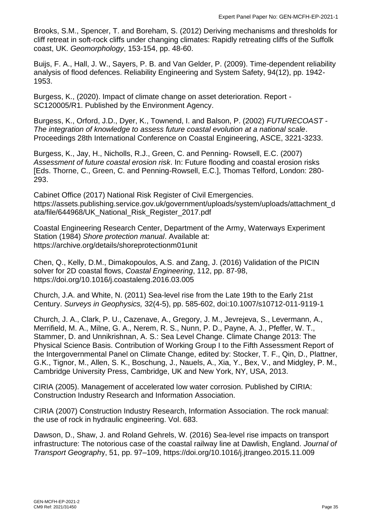Brooks, S.M., Spencer, T. and Boreham, S. (2012) Deriving mechanisms and thresholds for cliff retreat in soft-rock cliffs under changing climates: Rapidly retreating cliffs of the Suffolk coast, UK. *Geomorphology*, 153-154, pp. 48-60.

Buijs, F. A., Hall, J. W., Sayers, P. B. and Van Gelder, P. (2009). Time-dependent reliability analysis of flood defences. Reliability Engineering and System Safety, 94(12), pp. 1942- 1953.

Burgess, K., (2020). Impact of climate change on asset deterioration. Report - SC120005/R1. Published by the Environment Agency.

Burgess, K., Orford, J.D., Dyer, K., Townend, I. and Balson, P. (2002) *FUTURECOAST - The integration of knowledge to assess future coastal evolution at a national scale*. Proceedings 28th International Conference on Coastal Engineering, ASCE, 3221-3233.

Burgess, K., Jay, H., Nicholls, R.J., Green, C. and Penning- Rowsell, E.C. (2007) *Assessment of future coastal erosion risk*. In: Future flooding and coastal erosion risks [Eds. Thorne, C., Green, C. and Penning-Rowsell, E.C.], Thomas Telford, London: 280- 293.

Cabinet Office (2017) National Risk Register of Civil Emergencies. https://assets.publishing.service.gov.uk/government/uploads/system/uploads/attachment\_d ata/file/644968/UK\_National\_Risk\_Register\_2017.pdf

Coastal Engineering Research Center, Department of the Army, Waterways Experiment Station (1984) *Shore protection manual*. Available at: https://archive.org/details/shoreprotectionm01unit

Chen, Q., Kelly, D.M., Dimakopoulos, A.S. and Zang, J. (2016) Validation of the PICIN solver for 2D coastal flows, *Coastal Engineering*, 112, pp. 87-98, https://doi.org/10.1016/j.coastaleng.2016.03.005

Church, J.A. and White, N. (2011) Sea-level rise from the Late 19th to the Early 21st Century. *Surveys in Geophysics,* 32(4-5), pp. 585-602, doi:10.1007/s10712-011-9119-1

Church, J. A., Clark, P. U., Cazenave, A., Gregory, J. M., Jevrejeva, S., Levermann, A., Merrifield, M. A., Milne, G. A., Nerem, R. S., Nunn, P. D., Payne, A. J., Pfeffer, W. T., Stammer, D. and Unnikrishnan, A. S.: Sea Level Change. Climate Change 2013: The Physical Science Basis. Contribution of Working Group I to the Fifth Assessment Report of the Intergovernmental Panel on Climate Change, edited by: Stocker, T. F., Qin, D., Plattner, G.K., Tignor, M., Allen, S. K., Boschung, J., Nauels, A., Xia, Y., Bex, V., and Midgley, P. M., Cambridge University Press, Cambridge, UK and New York, NY, USA, 2013.

CIRIA (2005). Management of accelerated low water corrosion. Published by CIRIA: Construction Industry Research and Information Association.

CIRIA (2007) Construction Industry Research, Information Association. The rock manual: the use of rock in hydraulic engineering. Vol. 683.

Dawson, D., Shaw, J. and Roland Gehrels, W. (2016) Sea-level rise impacts on transport infrastructure: The notorious case of the coastal railway line at Dawlish, England. *Journal of Transport Geograph*y, 51, pp. 97–109, https://doi.org/10.1016/j.jtrangeo.2015.11.009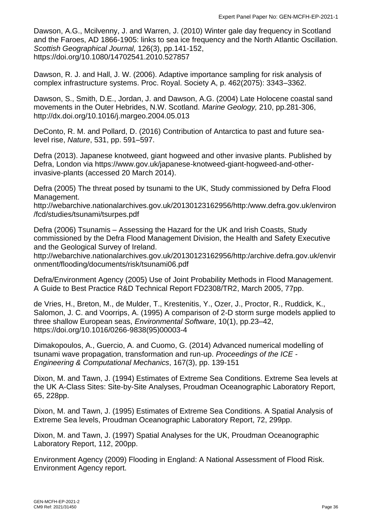Dawson, A.G., Mcilvenny, J. and Warren, J. (2010) Winter gale day frequency in Scotland and the Faroes, AD 1866-1905: links to sea ice frequency and the North Atlantic Oscillation. *Scottish Geographical Journal,* 126(3), pp.141-152, https://doi.org/10.1080/14702541.2010.527857

Dawson, R. J. and Hall, J. W. (2006). Adaptive importance sampling for risk analysis of complex infrastructure systems. Proc. Royal. Society A, p. 462(2075): 3343–3362.

Dawson, S., Smith, D.E., Jordan, J. and Dawson, A.G. (2004) Late Holocene coastal sand movements in the Outer Hebrides, N.W. Scotland. *Marine Geology,* 210, pp.281-306, http://dx.doi.org/10.1016/j.margeo.2004.05.013

DeConto, R. M. and Pollard, D. (2016) Contribution of Antarctica to past and future sealevel rise, *Nature*, 531, pp. 591–597.

Defra (2013). Japanese knotweed, giant hogweed and other invasive plants. Published by Defra, London via https://www.gov.uk/japanese-knotweed-giant-hogweed-and-otherinvasive-plants (accessed 20 March 2014).

Defra (2005) The threat posed by tsunami to the UK, Study commissioned by Defra Flood Management.

http://webarchive.nationalarchives.gov.uk/20130123162956/http:/www.defra.gov.uk/environ /fcd/studies/tsunami/tsurpes.pdf

Defra (2006) Tsunamis – Assessing the Hazard for the UK and Irish Coasts, Study commissioned by the Defra Flood Management Division, the Health and Safety Executive and the Geological Survey of Ireland.

http://webarchive.nationalarchives.gov.uk/20130123162956/http:/archive.defra.gov.uk/envir onment/flooding/documents/risk/tsunami06.pdf

Defra/Environment Agency (2005) Use of Joint Probability Methods in Flood Management. A Guide to Best Practice R&D Technical Report FD2308/TR2, March 2005, 77pp.

de Vries, H., Breton, M., de Mulder, T., Krestenitis, Y., Ozer, J., Proctor, R., Ruddick, K., Salomon, J. C. and Voorrips, A. (1995) A comparison of 2-D storm surge models applied to three shallow European seas, *Environmental Software*, 10(1), pp.23–42, https://doi.org/10.1016/0266-9838(95)00003-4

Dimakopoulos, A., Guercio, A. and Cuomo, G. (2014) Advanced numerical modelling of tsunami wave propagation, transformation and run-up. *Proceedings of the ICE - Engineering & Computational Mechanics*, 167(3), pp. 139-151

Dixon, M. and Tawn, J. (1994) Estimates of Extreme Sea Conditions. Extreme Sea levels at the UK A-Class Sites: Site-by-Site Analyses, Proudman Oceanographic Laboratory Report, 65, 228pp.

Dixon, M. and Tawn, J. (1995) Estimates of Extreme Sea Conditions. A Spatial Analysis of Extreme Sea levels, Proudman Oceanographic Laboratory Report, 72, 299pp.

Dixon, M. and Tawn, J. (1997) Spatial Analyses for the UK, Proudman Oceanographic Laboratory Report, 112, 200pp.

Environment Agency (2009) Flooding in England: A National Assessment of Flood Risk. Environment Agency report.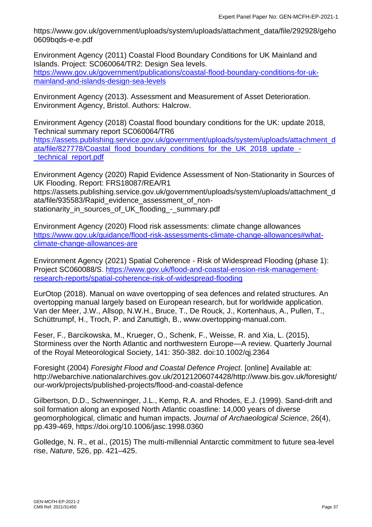https://www.gov.uk/government/uploads/system/uploads/attachment\_data/file/292928/geho 0609bqds-e-e.pdf

Environment Agency (2011) Coastal Flood Boundary Conditions for UK Mainland and Islands. Project: SC060064/TR2: Design Sea levels. [https://www.gov.uk/government/publications/coastal-flood-boundary-conditions-for-uk](https://www.gov.uk/government/publications/coastal-flood-boundary-conditions-for-uk-mainland-and-islands-design-sea-levels)[mainland-and-islands-design-sea-levels](https://www.gov.uk/government/publications/coastal-flood-boundary-conditions-for-uk-mainland-and-islands-design-sea-levels)

Environment Agency (2013). Assessment and Measurement of Asset Deterioration. Environment Agency, Bristol. Authors: Halcrow.

Environment Agency (2018) Coastal flood boundary conditions for the UK: update 2018, Technical summary report SC060064/TR6

[https://assets.publishing.service.gov.uk/government/uploads/system/uploads/attachment\\_d](https://assets.publishing.service.gov.uk/government/uploads/system/uploads/attachment_data/file/827778/Coastal_flood_boundary_conditions_for_the_UK_2018_update_-_technical_report.pdf) [ata/file/827778/Coastal\\_flood\\_boundary\\_conditions\\_for\\_the\\_UK\\_2018\\_update\\_-](https://assets.publishing.service.gov.uk/government/uploads/system/uploads/attachment_data/file/827778/Coastal_flood_boundary_conditions_for_the_UK_2018_update_-_technical_report.pdf) [\\_technical\\_report.pdf](https://assets.publishing.service.gov.uk/government/uploads/system/uploads/attachment_data/file/827778/Coastal_flood_boundary_conditions_for_the_UK_2018_update_-_technical_report.pdf)

Environment Agency (2020) Rapid Evidence Assessment of Non-Stationarity in Sources of UK Flooding. Report: FRS18087/REA/R1 https://assets.publishing.service.gov.uk/government/uploads/system/uploads/attachment\_d ata/file/935583/Rapid\_evidence\_assessment\_of\_nonstationarity\_in\_sources\_of\_UK\_flooding\_-\_summary.pdf

Environment Agency (2020) Flood risk assessments: climate change allowances [https://www.gov.uk/guidance/flood-risk-assessments-climate-change-allowances#what](https://www.gov.uk/guidance/flood-risk-assessments-climate-change-allowances#what-climate-change-allowances-are)[climate-change-allowances-are](https://www.gov.uk/guidance/flood-risk-assessments-climate-change-allowances#what-climate-change-allowances-are)

Environment Agency (2021) Spatial Coherence - Risk of Widespread Flooding (phase 1): Project SC060088/S. [https://www.gov.uk/flood-and-coastal-erosion-risk-management](https://www.gov.uk/flood-and-coastal-erosion-risk-management-research-reports/spatial-coherence-risk-of-widespread-flooding)[research-reports/spatial-coherence-risk-of-widespread-flooding](https://www.gov.uk/flood-and-coastal-erosion-risk-management-research-reports/spatial-coherence-risk-of-widespread-flooding)

EurOtop (2018). Manual on wave overtopping of sea defences and related structures. An overtopping manual largely based on European research, but for worldwide application. Van der Meer, J.W., Allsop, N.W.H., Bruce, T., De Rouck, J., Kortenhaus, A., Pullen, T., Schüttrumpf, H., Troch, P. and Zanuttigh, B., www.overtopping-manual.com.

Feser, F., Barcikowska, M., Krueger, O., Schenk, F., Weisse, R. and Xia, L. (2015), Storminess over the North Atlantic and northwestern Europe—A review. Quarterly Journal of the Royal Meteorological Society, 141: 350-382. doi:10.1002/qj.2364

Foresight (2004) *Foresight Flood and Coastal Defence Project.* [online] Available at: http://webarchive.nationalarchives.gov.uk/20121206074428/http://www.bis.gov.uk/foresight/ our-work/projects/published-projects/flood-and-coastal-defence

Gilbertson, D.D., Schwenninger, J.L., Kemp, R.A. and Rhodes, E.J. (1999). Sand-drift and soil formation along an exposed North Atlantic coastline: 14,000 years of diverse geomorphological, climatic and human impacts. *Journal of Archaeological Science*, 26(4), pp.439-469, https://doi.org/10.1006/jasc.1998.0360

Golledge, N. R., et al., (2015) The multi-millennial Antarctic commitment to future sea-level rise, *Nature*, 526, pp. 421–425.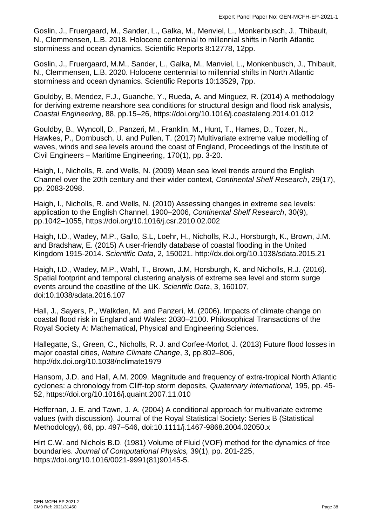Goslin, J., Fruergaard, M., Sander, L., Galka, M., Menviel, L., Monkenbusch, J., Thibault, N., Clemmensen, L.B. 2018. Holocene centennial to millennial shifts in North Atlantic storminess and ocean dynamics. Scientific Reports 8:12778, 12pp.

Goslin, J., Fruergaard, M.M., Sander, L., Galka, M., Manviel, L., Monkenbusch, J., Thibault, N., Clemmensen, L.B. 2020. Holocene centennial to millennial shifts in North Atlantic storminess and ocean dynamics. Scientific Reports 10:13529, 7pp.

Gouldby, B, Mendez, F.J., Guanche, Y., Rueda, A. and Minguez, R. (2014) A methodology for deriving extreme nearshore sea conditions for structural design and flood risk analysis, *Coastal Engineering*, 88, pp.15–26, https://doi.org/10.1016/j.coastaleng.2014.01.012

Gouldby, B., Wyncoll, D., Panzeri, M., Franklin, M., Hunt, T., Hames, D., Tozer, N., Hawkes, P., Dornbusch, U. and Pullen, T. (2017) Multivariate extreme value modelling of waves, winds and sea levels around the coast of England, Proceedings of the Institute of Civil Engineers – Maritime Engineering, 170(1), pp. 3-20.

Haigh, I., Nicholls, R. and Wells, N. (2009) Mean sea level trends around the English Channel over the 20th century and their wider context, *Continental Shelf Research*, 29(17), pp. 2083-2098.

Haigh, I., Nicholls, R. and Wells, N. (2010) Assessing changes in extreme sea levels: application to the English Channel, 1900–2006, *Continental Shelf Research*, 30(9), pp.1042–1055, https://doi.org/10.1016/j.csr.2010.02.002

Haigh, I.D., Wadey, M.P., Gallo, S.L, Loehr, H., Nicholls, R.J., Horsburgh, K., Brown, J.M. and Bradshaw, E. (2015) A user-friendly database of coastal flooding in the United Kingdom 1915-2014. *Scientific Data*, 2, 150021. http://dx.doi.org/10.1038/sdata.2015.21

Haigh, I.D., Wadey, M.P., Wahl, T., Brown, J.M, Horsburgh, K. and Nicholls, R.J. (2016). Spatial footprint and temporal clustering analysis of extreme sea level and storm surge events around the coastline of the UK. *Scientific Data*, 3, 160107, doi:10.1038/sdata.2016.107

Hall, J., Sayers, P., Walkden, M. and Panzeri, M. (2006). Impacts of climate change on coastal flood risk in England and Wales: 2030–2100. Philosophical Transactions of the Royal Society A: Mathematical, Physical and Engineering Sciences.

Hallegatte, S., Green, C., Nicholls, R. J. and Corfee-Morlot, J. (2013) Future flood losses in major coastal cities, *Nature Climate Change*, 3, pp.802–806, http://dx.doi.org/10.1038/nclimate1979

Hansom, J.D. and Hall, A.M. 2009. Magnitude and frequency of extra-tropical North Atlantic cyclones: a chronology from Cliff-top storm deposits, *Quaternary International,* 195, pp. 45- 52, https://doi.org/10.1016/j.quaint.2007.11.010

Heffernan, J. E. and Tawn, J. A. (2004) A conditional approach for multivariate extreme values (with discussion). Journal of the Royal Statistical Society: Series B (Statistical Methodology), 66, pp. 497–546, doi:10.1111/j.1467-9868.2004.02050.x

Hirt C.W. and Nichols B.D. (1981) Volume of Fluid (VOF) method for the dynamics of free boundaries. *Journal of Computational Physics,* 39(1), pp. 201-225, https://doi.org/10.1016/0021-9991(81)90145-5.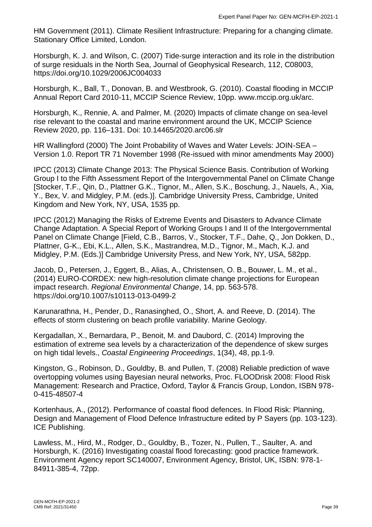HM Government (2011). Climate Resilient Infrastructure: Preparing for a changing climate. Stationary Office Limited, London.

Horsburgh, K. J. and Wilson, C. (2007) Tide-surge interaction and its role in the distribution of surge residuals in the North Sea, Journal of Geophysical Research, 112, C08003, https://doi.org/10.1029/2006JC004033

Horsburgh, K., Ball, T., Donovan, B. and Westbrook, G. (2010). Coastal flooding in MCCIP Annual Report Card 2010-11, MCCIP Science Review, 10pp. www.mccip.org.uk/arc.

Horsburgh, K., Rennie, A. and Palmer, M. (2020) Impacts of climate change on sea-level rise relevant to the coastal and marine environment around the UK, MCCIP Science Review 2020, pp. 116–131. Doi: 10.14465/2020.arc06.slr

HR Wallingford (2000) The Joint Probability of Waves and Water Levels: JOIN-SEA – Version 1.0. Report TR 71 November 1998 (Re-issued with minor amendments May 2000)

IPCC (2013) Climate Change 2013: The Physical Science Basis. Contribution of Working Group I to the Fifth Assessment Report of the Intergovernmental Panel on Climate Change [Stocker, T.F., Qin, D., Plattner G.K., Tignor, M., Allen, S.K., Boschung, J., Nauels, A., Xia, Y., Bex, V. and Midgley, P.M. (eds.)]. Cambridge University Press, Cambridge, United Kingdom and New York, NY, USA, 1535 pp.

IPCC (2012) Managing the Risks of Extreme Events and Disasters to Advance Climate Change Adaptation. A Special Report of Working Groups I and II of the Intergovernmental Panel on Climate Change [Field, C.B., Barros, V., Stocker, T.F., Dahe, Q., Jon Dokken, D., Plattner, G-K., Ebi, K.L., Allen, S.K., Mastrandrea, M.D., Tignor, M., Mach, K.J. and Midgley, P.M. (Eds.)] Cambridge University Press, and New York, NY, USA, 582pp.

Jacob, D., Petersen, J., Eggert, B., Alias, A., Christensen, O. B., Bouwer, L. M., et al., (2014) EURO-CORDEX: new high-resolution climate change projections for European impact research. *Regional Environmental Change*, 14, pp. 563-578. https://doi.org/10.1007/s10113-013-0499-2

Karunarathna, H., Pender, D., Ranasinghed, O., Short, A. and Reeve, D. (2014). The effects of storm clustering on beach profile variability. Marine Geology.

Kergadallan, X., Bernardara, P., Benoit, M. and Daubord, C. (2014) Improving the estimation of extreme sea levels by a characterization of the dependence of skew surges on high tidal levels., *Coastal Engineering Proceedings*, 1(34), 48, pp.1-9.

Kingston, G., Robinson, D., Gouldby, B. and Pullen, T. (2008) Reliable prediction of wave overtopping volumes using Bayesian neural networks, Proc. FLOODrisk 2008: Flood Risk Management: Research and Practice, Oxford, Taylor & Francis Group, London, ISBN 978- 0-415-48507-4

Kortenhaus, A., (2012). Performance of coastal flood defences. In Flood Risk: Planning, Design and Management of Flood Defence Infrastructure edited by P Sayers (pp. 103-123). ICE Publishing.

Lawless, M., Hird, M., Rodger, D., Gouldby, B., Tozer, N., Pullen, T., Saulter, A. and Horsburgh, K. (2016) Investigating coastal flood forecasting: good practice framework. Environment Agency report SC140007, Environment Agency, Bristol, UK, ISBN: 978-1- 84911-385-4, 72pp.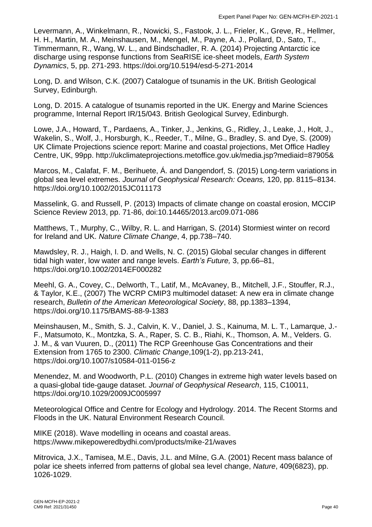Levermann, A., Winkelmann, R., Nowicki, S., Fastook, J. L., Frieler, K., Greve, R., Hellmer, H. H., Martin, M. A., Meinshausen, M., Mengel, M., Payne, A. J., Pollard, D., Sato, T., Timmermann, R., Wang, W. L., and Bindschadler, R. A. (2014) Projecting Antarctic ice discharge using response functions from SeaRISE ice-sheet models, *Earth System Dynamics*, 5, pp. 271-293. https://doi.org/10.5194/esd-5-271-2014

Long, D. and Wilson, C.K. (2007) Catalogue of tsunamis in the UK. British Geological Survey, Edinburgh.

Long, D. 2015. A catalogue of tsunamis reported in the UK. Energy and Marine Sciences programme, Internal Report IR/15/043. British Geological Survey, Edinburgh.

Lowe, J.A., Howard, T., Pardaens, A., Tinker, J., Jenkins, G., Ridley, J., Leake, J., Holt, J., Wakelin, S., Wolf, J., Horsburgh, K., Reeder, T., Milne, G., Bradley, S. and Dye, S. (2009) UK Climate Projections science report: Marine and coastal projections, Met Office Hadley Centre, UK, 99pp. http://ukclimateprojections.metoffice.gov.uk/media.jsp?mediaid=87905&

Marcos, M., Calafat, F. M., Berihuete, Á. and Dangendorf, S. (2015) Long-term variations in global sea level extremes. *Journal of Geophysical Research: Oceans,* 120, pp. 8115–8134. <https://doi.org/10.1002/2015JC011173>

Masselink, G. and Russell, P. (2013) Impacts of climate change on coastal erosion, MCCIP Science Review 2013, pp. 71-86, doi:10.14465/2013.arc09.071-086

Matthews, T., Murphy, C., Wilby, R. L. and Harrigan, S. (2014) Stormiest winter on record for Ireland and UK. *Nature Climate Change*, 4, pp.738–740.

Mawdsley, R. J., Haigh, I. D. and Wells, N. C. (2015) Global secular changes in different tidal high water, low water and range levels. *Earth's Future,* 3, pp.66–81, https://doi.org/10.1002/2014EF000282

Meehl, G. A., Covey, C., Delworth, T., Latif, M., McAvaney, B., Mitchell, J.F., Stouffer, R.J., & Taylor, K.E., (2007) The WCRP CMIP3 multimodel dataset: A new era in climate change research, *Bulletin of the American Meteorological Society*, 88, pp.1383–1394, https://doi.org/10.1175/BAMS-88-9-1383

Meinshausen, M., Smith, S. J., Calvin, K. V., Daniel, J. S., Kainuma, M. L. T., Lamarque, J.- F., Matsumoto, K., Montzka, S. A., Raper, S. C. B., Riahi, K., Thomson, A. M., Velders. G. J. M., & van Vuuren, D., (2011) The RCP Greenhouse Gas Concentrations and their Extension from 1765 to 2300. *Climatic Change*,109(1-2), pp.213-241, https://doi.org/10.1007/s10584-011-0156-z

Menendez, M. and Woodworth, P.L. (2010) Changes in extreme high water levels based on a quasi-global tide-gauge dataset. *Journal of Geophysical Research*, 115, C10011, https://doi.org/10.1029/2009JC005997

Meteorological Office and Centre for Ecology and Hydrology. 2014. The Recent Storms and Floods in the UK. Natural Environment Research Council.

MIKE (2018). Wave modelling in oceans and coastal areas. https://www.mikepoweredbydhi.com/products/mike-21/waves

Mitrovica, J.X., Tamisea, M.E., Davis, J.L. and Milne, G.A. (2001) Recent mass balance of polar ice sheets inferred from patterns of global sea level change, *Nature*, 409(6823), pp. 1026-1029.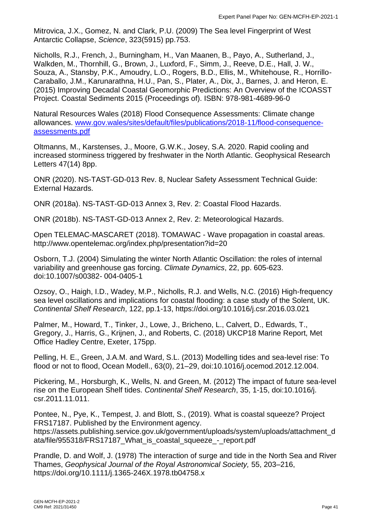Mitrovica, J.X., Gomez, N. and Clark, P.U. (2009) The Sea level Fingerprint of West Antarctic Collapse, *Science*, 323(5915) pp.753.

Nicholls, R.J., French, J., Burningham, H., Van Maanen, B., Payo, A., Sutherland, J., Walkden, M., Thornhill, G., Brown, J., Luxford, F., Simm, J., Reeve, D.E., Hall, J. W., Souza, A., Stansby, P.K., Amoudry, L.O., Rogers, B.D., Ellis, M., Whitehouse, R., Horrillo-Caraballo, J.M., Karunarathna, H.U., Pan, S., Plater, A., Dix, J., Barnes, J. and Heron, E. (2015) Improving Decadal Coastal Geomorphic Predictions: An Overview of the ICOASST Project. Coastal Sediments 2015 (Proceedings of). ISBN: 978-981-4689-96-0

Natural Resources Wales (2018) Flood Consequence Assessments: Climate change allowances. [www.gov.wales/sites/default/files/publications/2018-11/flood-consequence](http://www.gov.wales/sites/default/files/publications/2018-11/flood-consequence-assessments.pdf)[assessments.pdf](http://www.gov.wales/sites/default/files/publications/2018-11/flood-consequence-assessments.pdf)

Oltmanns, M., Karstenses, J., Moore, G.W.K., Josey, S.A. 2020. Rapid cooling and increased storminess triggered by freshwater in the North Atlantic. Geophysical Research Letters 47(14) 8pp.

ONR (2020). NS-TAST-GD-013 Rev. 8, Nuclear Safety Assessment Technical Guide: External Hazards.

ONR (2018a). NS-TAST-GD-013 Annex 3, Rev. 2: Coastal Flood Hazards.

ONR (2018b). NS-TAST-GD-013 Annex 2, Rev. 2: Meteorological Hazards.

Open TELEMAC-MASCARET (2018). TOMAWAC - Wave propagation in coastal areas. http://www.opentelemac.org/index.php/presentation?id=20

Osborn, T.J. (2004) Simulating the winter North Atlantic Oscillation: the roles of internal variability and greenhouse gas forcing. *Climate Dynamics*, 22, pp. 605-623. doi:10.1007/s00382- 004-0405-1

Ozsoy, O., Haigh, I.D., Wadey, M.P., Nicholls, R.J. and Wells, N.C. (2016) High-frequency sea level oscillations and implications for coastal flooding: a case study of the Solent, UK. *Continental Shelf Research*, 122, pp.1-13, https://doi.org/10.1016/j.csr.2016.03.021

Palmer, M., Howard, T., Tinker, J., Lowe, J., Bricheno, L., Calvert, D., Edwards, T., Gregory, J., Harris, G., Krijnen, J., and Roberts, C. (2018) UKCP18 Marine Report, Met Office Hadley Centre, Exeter, 175pp.

Pelling, H. E., Green, J.A.M. and Ward, S.L. (2013) Modelling tides and sea-level rise: To flood or not to flood, Ocean Modell., 63(0), 21–29, doi:10.1016/j.ocemod.2012.12.004.

Pickering, M., Horsburgh, K., Wells, N. and Green, M. (2012) The impact of future sea-level rise on the European Shelf tides. *Continental Shelf Research*, 35, 1-15, doi:10.1016/j. csr.2011.11.011.

Pontee, N., Pye, K., Tempest, J. and Blott, S., (2019). What is coastal squeeze? Project FRS17187. Published by the Environment agency. https://assets.publishing.service.gov.uk/government/uploads/system/uploads/attachment\_d ata/file/955318/FRS17187 What is coastal squeeze - report.pdf

Prandle, D. and Wolf, J. (1978) The interaction of surge and tide in the North Sea and River Thames, *Geophysical Journal of the Royal Astronomical Society,* 55, 203–216, https://doi.org/10.1111/j.1365-246X.1978.tb04758.x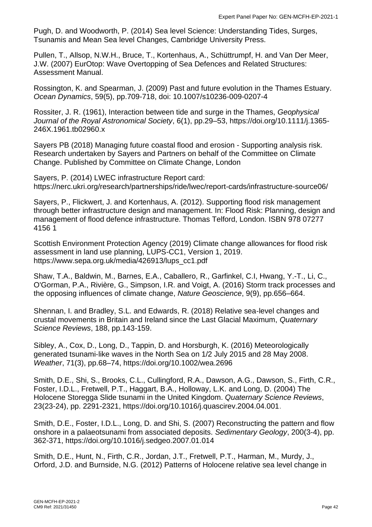Pugh, D. and Woodworth, P. (2014) Sea level Science: Understanding Tides, Surges, Tsunamis and Mean Sea level Changes, Cambridge University Press.

Pullen, T., Allsop, N.W.H., Bruce, T., Kortenhaus, A., Schüttrumpf, H. and Van Der Meer, J.W. (2007) EurOtop: Wave Overtopping of Sea Defences and Related Structures: Assessment Manual.

Rossington, K. and Spearman, J. (2009) Past and future evolution in the Thames Estuary. *Ocean Dynamics*, 59(5), pp.709-718, doi: 10.1007/s10236-009-0207-4

Rossiter, J. R. (1961), Interaction between tide and surge in the Thames, *Geophysical Journal of the Royal Astronomical Society*, 6(1), pp.29–53, [https://doi.org/10.1111/j.1365-](https://doi.org/10.1111/j.1365-246X.1961.tb02960.x) [246X.1961.tb02960.x](https://doi.org/10.1111/j.1365-246X.1961.tb02960.x)

Sayers PB (2018) Managing future coastal flood and erosion - Supporting analysis risk. Research undertaken by Sayers and Partners on behalf of the Committee on Climate Change. Published by Committee on Climate Change, London

Sayers, P. (2014) LWEC infrastructure Report card: https://nerc.ukri.org/research/partnerships/ride/lwec/report-cards/infrastructure-source06/

Sayers, P., Flickwert, J. and Kortenhaus, A. (2012). Supporting flood risk management through better infrastructure design and management. In: Flood Risk: Planning, design and management of flood defence infrastructure. Thomas Telford, London. ISBN 978 07277 4156 1

Scottish Environment Protection Agency (2019) Climate change allowances for flood risk assessment in land use planning, LUPS-CC1, Version 1, 2019. https://www.sepa.org.uk/media/426913/lups\_cc1.pdf

Shaw, T.A., Baldwin, M., Barnes, E.A., Caballero, R., Garfinkel, C.I, Hwang, Y.-T., Li, C., O'Gorman, P.A., Rivière, G., Simpson, I.R. and Voigt, A. (2016) Storm track processes and the opposing influences of climate change, *Nature Geoscience*, 9(9), pp.656–664.

Shennan, I. and Bradley, S.L. and Edwards, R. (2018) Relative sea‐level changes and crustal movements in Britain and Ireland since the Last Glacial Maximum, *Quaternary Science Reviews*, 188, pp.143-159.

Sibley, A., Cox, D., Long, D., Tappin, D. and Horsburgh, K. (2016) Meteorologically generated tsunami‐like waves in the North Sea on 1/2 July 2015 and 28 May 2008. *Weather*, 71(3), pp.68–74,<https://doi.org/10.1002/wea.2696>

Smith, D.E., Shi, S., Brooks, C.L., Cullingford, R.A., Dawson, A.G., Dawson, S., Firth, C.R., Foster, I.D.L., Fretwell, P.T., Haggart, B.A., Holloway, L.K. and Long, D. (2004) The Holocene Storegga Slide tsunami in the United Kingdom. *Quaternary Science Reviews*, 23(23-24), pp. 2291-2321, https://doi.org/10.1016/j.quascirev.2004.04.001.

Smith, D.E., Foster, I.D.L., Long, D. and Shi, S. (2007) Reconstructing the pattern and flow onshore in a palaeotsunami from associated deposits. *Sedimentary Geology*, 200(3-4), pp. 362-371, https://doi.org/10.1016/j.sedgeo.2007.01.014

Smith, D.E., Hunt, N., Firth, C.R., Jordan, J.T., Fretwell, P.T., Harman, M., Murdy, J., Orford, J.D. and Burnside, N.G. (2012) Patterns of Holocene relative sea level change in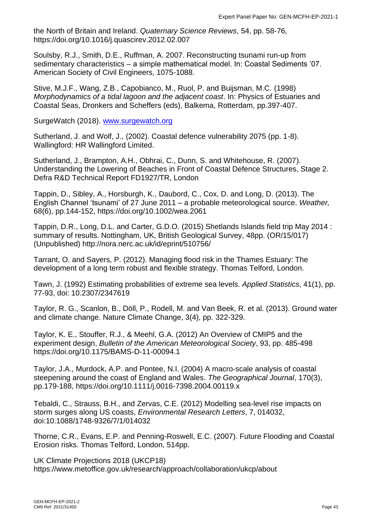the North of Britain and Ireland. *Quaternary Science Reviews*, 54, pp. 58-76, https://doi.org/10.1016/j.quascirev.2012.02.007

Soulsby, R.J., Smith, D.E., Ruffman, A. 2007. Reconstructing tsunami run-up from sedimentary characteristics – a simple mathematical model. In: Coastal Sediments '07. American Society of Civil Engineers, 1075-1088.

Stive, M.J.F., Wang, Z.B., Capobianco, M., Ruol, P. and Buijsman, M.C. (1998) *Morphodynamics of a tidal lagoon and the adjacent coast*. In: Physics of Estuaries and Coastal Seas, Dronkers and Scheffers (eds), Balkema, Rotterdam, pp.397-407.

SurgeWatch (2018). [www.surgewatch.org](http://www.surgewatch.org/)

Sutherland, J. and Wolf, J., (2002). Coastal defence vulnerability 2075 (pp. 1-8). Wallingford: HR Wallingford Limited.

Sutherland, J., Brampton, A.H., Obhrai, C., Dunn, S. and Whitehouse, R. (2007). Understanding the Lowering of Beaches in Front of Coastal Defence Structures, Stage 2. Defra R&D Technical Report FD1927/TR, London

Tappin, D., Sibley, A., Horsburgh, K., Daubord, C., Cox, D. and Long, D. (2013). The English Channel 'tsunami' of 27 June 2011 – a probable meteorological source. *Weather,* 68(6), pp.144-152, https://doi.org/10.1002/wea.2061

Tappin, D.R., Long, D.L. and Carter, G.D.O. (2015) Shetlands Islands field trip May 2014 : summary of results. Nottingham, UK, British Geological Survey, 48pp. (OR/15/017) (Unpublished) http://nora.nerc.ac.uk/id/eprint/510756/

Tarrant, O. and Sayers, P. (2012). Managing flood risk in the Thames Estuary: The development of a long term robust and flexible strategy. Thomas Telford, London.

Tawn, J. (1992) Estimating probabilities of extreme sea levels. *Applied Statistics*, 41(1), pp. 77-93, doi: 10.2307/2347619

Taylor, R. G., Scanlon, B., Döll, P., Rodell, M. and Van Beek, R. et al. (2013). Ground water and climate change. Nature Climate Change, 3(4), pp. 322-329.

Taylor, K. E., Stouffer, R.J., & Meehl, G.A. (2012) An Overview of CMIP5 and the experiment design, *Bulletin of the American Meteorological Society*, 93, pp. 485-498 https://doi.org/10.1175/BAMS-D-11-00094.1

Taylor, J.A., Murdock, A.P. and Pontee, N.I. (2004) A macro-scale analysis of coastal steepening around the coast of England and Wales. *The Geographical Journal*, 170(3), pp.179-188,<https://doi.org/10.1111/j.0016-7398.2004.00119.x>

Tebaldi, C., Strauss, B.H., and Zervas, C.E. (2012) Modelling sea-level rise impacts on storm surges along US coasts, *Environmental Research Letters*, 7, 014032, doi:10.1088/1748-9326/7/1/014032

Thorne, C.R., Evans, E.P. and Penning-Roswell, E.C. (2007). Future Flooding and Coastal Erosion risks. Thomas Telford, London, 514pp.

UK Climate Projections 2018 (UKCP18) https://www.metoffice.gov.uk/research/approach/collaboration/ukcp/about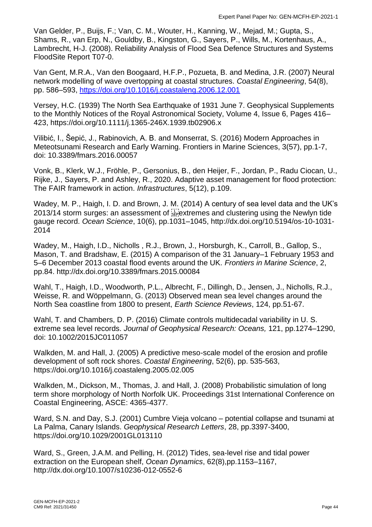Van Gelder, P., Buijs, F.; Van, C. M., Wouter, H., Kanning, W., Mejad, M.; Gupta, S., Shams, R., van Erp, N., Gouldby, B., Kingston, G., Sayers, P., Wills, M., Kortenhaus, A., Lambrecht, H-J. (2008). Reliability Analysis of Flood Sea Defence Structures and Systems FloodSite Report T07-0.

Van Gent, M.R.A., Van den Boogaard, H.F.P., Pozueta, B. and Medina, J.R. (2007) Neural network modelling of wave overtopping at coastal structures. *Coastal Engineering*, 54(8), pp. 586–593,<https://doi.org/10.1016/j.coastaleng.2006.12.001>

Versey, H.C. (1939) The North Sea Earthquake of 1931 June 7. Geophysical Supplements to the Monthly Notices of the Royal Astronomical Society, Volume 4, Issue 6, Pages 416– 423, https://doi.org/10.1111/j.1365-246X.1939.tb02906.x

Vilibić, I., Šepić, J., Rabinovich, A. B. and Monserrat, S. (2016) Modern Approaches in Meteotsunami Research and Early Warning. Frontiers in Marine Sciences, 3(57), pp.1-7, doi: 10.3389/fmars.2016.00057

Vonk, B., Klerk, W.J., Fröhle, P., Gersonius, B., den Heijer, F., Jordan, P., Radu Ciocan, U., Rijke, J., Sayers, P. and Ashley, R., 2020. Adaptive asset management for flood protection: The FAIR framework in action. *Infrastructures*, 5(12), p.109.

Wadey, M. P., Haigh, I. D. and Brown, J. M. (2014) A century of sea level data and the UK's 2013/14 storm surges: an assessment of  $\frac{1}{25}$  extremes and clustering using the Newlyn tide gauge record. *Ocean Science*, 10(6), pp.1031–1045, http://dx.doi.org/10.5194/os-10-1031- 2014

Wadey, M., Haigh, I.D., Nicholls, R.J., Brown, J., Horsburgh, K., Carroll, B., Gallop, S., Mason, T. and Bradshaw, E. (2015) A comparison of the 31 January–1 February 1953 and 5–6 December 2013 coastal flood events around the UK. *Frontiers in Marine Science*, 2, pp.84. http://dx.doi.org/10.3389/fmars.2015.00084

Wahl, T., Haigh, I.D., Woodworth, P.L., Albrecht, F., Dillingh, D., Jensen, J., Nicholls, R.J., Weisse, R. and Wöppelmann, G. (2013) Observed mean sea level changes around the North Sea coastline from 1800 to present, *Earth Science Reviews*, 124, pp.51-67.

Wahl, T. and Chambers, D. P. (2016) Climate controls multidecadal variability in U. S. extreme sea level records. *Journal of Geophysical Research: Oceans,* 121, pp.1274–1290, doi: 10.1002/2015JC011057

Walkden, M. and Hall, J. (2005) A predictive meso-scale model of the erosion and profile development of soft rock shores. *Coastal Engineering*, 52(6), pp. 535-563, https://doi.org/10.1016/j.coastaleng.2005.02.005

Walkden, M., Dickson, M., Thomas, J. and Hall, J. (2008) Probabilistic simulation of long term shore morphology of North Norfolk UK. Proceedings 31st International Conference on Coastal Engineering, ASCE: 4365-4377.

Ward, S.N. and Day, S.J. (2001) Cumbre Vieja volcano – potential collapse and tsunami at La Palma, Canary Islands. *Geophysical Research Letters*, 28, pp.3397-3400, <https://doi.org/10.1029/2001GL013110>

Ward, S., Green, J.A.M. and Pelling, H. (2012) Tides, sea-level rise and tidal power extraction on the European shelf, *Ocean Dynamics*, 62(8),pp.1153–1167, http://dx.doi.org/10.1007/s10236-012-0552-6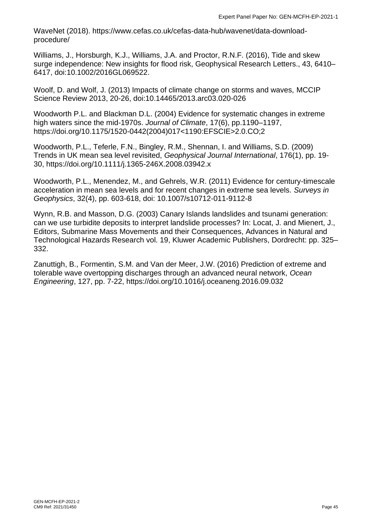WaveNet (2018). https://www.cefas.co.uk/cefas-data-hub/wavenet/data-downloadprocedure/

Williams, J., Horsburgh, K.J., Williams, J.A. and Proctor, R.N.F. (2016), Tide and skew surge independence: New insights for flood risk, Geophysical Research Letters., 43, 6410– 6417, doi:10.1002/2016GL069522.

Woolf, D. and Wolf, J. (2013) Impacts of climate change on storms and waves, MCCIP Science Review 2013, 20-26, doi:10.14465/2013.arc03.020-026

Woodworth P.L. and Blackman D.L. (2004) Evidence for systematic changes in extreme high waters since the mid-1970s. *Journal of Climate*, 17(6), pp.1190–1197, https://doi.org/10.1175/1520-0442(2004)017<1190:EFSCIE>2.0.CO;2

Woodworth, P.L., Teferle, F.N., Bingley, R.M., Shennan, I. and Williams, S.D. (2009) Trends in UK mean sea level revisited, *Geophysical Journal International*, 176(1), pp. 19- 30,<https://doi.org/10.1111/j.1365-246X.2008.03942.x>

Woodworth, P.L., Menendez, M., and Gehrels, W.R. (2011) Evidence for century-timescale acceleration in mean sea levels and for recent changes in extreme sea levels. *Surveys in Geophysics*, 32(4), pp. 603-618, doi: 10.1007/s10712-011-9112-8

Wynn, R.B. and Masson, D.G. (2003) Canary Islands landslides and tsunami generation: can we use turbidite deposits to interpret landslide processes? In: Locat, J. and Mienert, J., Editors, Submarine Mass Movements and their Consequences, Advances in Natural and Technological Hazards Research vol. 19, Kluwer Academic Publishers, Dordrecht: pp. 325– 332.

Zanuttigh, B., Formentin, S.M. and Van der Meer, J.W. (2016) Prediction of extreme and tolerable wave overtopping discharges through an advanced neural network, *Ocean Engineering*, 127, pp. 7-22, https://doi.org/10.1016/j.oceaneng.2016.09.032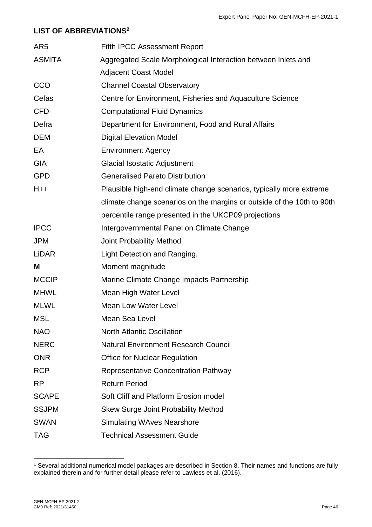#### <span id="page-46-0"></span>**LIST OF ABBREVIATIONS<sup>2</sup>**

| AR <sub>5</sub> | <b>Fifth IPCC Assessment Report</b>                                    |
|-----------------|------------------------------------------------------------------------|
| <b>ASMITA</b>   | Aggregated Scale Morphological Interaction between Inlets and          |
|                 | <b>Adjacent Coast Model</b>                                            |
| CCO             | <b>Channel Coastal Observatory</b>                                     |
| Cefas           | Centre for Environment, Fisheries and Aquaculture Science              |
| <b>CFD</b>      | <b>Computational Fluid Dynamics</b>                                    |
| Defra           | Department for Environment, Food and Rural Affairs                     |
| <b>DEM</b>      | <b>Digital Elevation Model</b>                                         |
| EA              | <b>Environment Agency</b>                                              |
| <b>GIA</b>      | Glacial Isostatic Adjustment                                           |
| <b>GPD</b>      | <b>Generalised Pareto Distribution</b>                                 |
| $H++$           | Plausible high-end climate change scenarios, typically more extreme    |
|                 | climate change scenarios on the margins or outside of the 10th to 90th |
|                 | percentile range presented in the UKCP09 projections                   |
| <b>IPCC</b>     | Intergovernmental Panel on Climate Change                              |
| <b>JPM</b>      | <b>Joint Probability Method</b>                                        |
| <b>LiDAR</b>    | Light Detection and Ranging.                                           |
| M               | Moment magnitude                                                       |
| <b>MCCIP</b>    | Marine Climate Change Impacts Partnership                              |
| <b>MHWL</b>     | Mean High Water Level                                                  |
| <b>MLWL</b>     | <b>Mean Low Water Level</b>                                            |
| <b>MSL</b>      | Mean Sea Level                                                         |
| <b>NAO</b>      | <b>North Atlantic Oscillation</b>                                      |
| <b>NERC</b>     | <b>Natural Environment Research Council</b>                            |
| <b>ONR</b>      | <b>Office for Nuclear Regulation</b>                                   |
| <b>RCP</b>      | <b>Representative Concentration Pathway</b>                            |
| <b>RP</b>       | <b>Return Period</b>                                                   |
| <b>SCAPE</b>    | Soft Cliff and Platform Erosion model                                  |
| <b>SSJPM</b>    | <b>Skew Surge Joint Probability Method</b>                             |
| <b>SWAN</b>     | <b>Simulating WAves Nearshore</b>                                      |
| <b>TAG</b>      | <b>Technical Assessment Guide</b>                                      |

<sup>1</sup> Several additional numerical model packages are described in Section 8. Their names and functions are fully explained therein and for further detail please refer to Lawless et al. (2016).